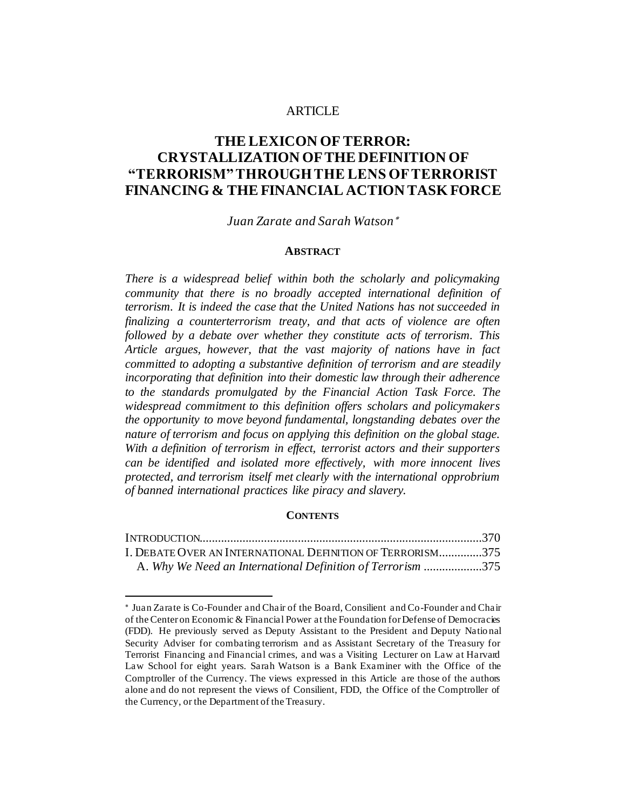### **ARTICLE**

# **THE LEXICON OF TERROR: CRYSTALLIZATION OF THE DEFINITION OF "TERRORISM" THROUGH THE LENS OF TERRORIST FINANCING & THE FINANCIAL ACTION TASK FORCE**

### *Juan Zarate and Sarah Watson*

#### **ABSTRACT**

*There is a widespread belief within both the scholarly and policymaking community that there is no broadly accepted international definition of terrorism. It is indeed the case that the United Nations has not succeeded in finalizing a counterterrorism treaty, and that acts of violence are often followed by a debate over whether they constitute acts of terrorism. This Article argues, however, that the vast majority of nations have in fact committed to adopting a substantive definition of terrorism and are steadily incorporating that definition into their domestic law through their adherence to the standards promulgated by the Financial Action Task Force. The widespread commitment to this definition offers scholars and policymakers the opportunity to move beyond fundamental, longstanding debates over the nature of terrorism and focus on applying this definition on the global stage. With a definition of terrorism in effect, terrorist actors and their supporters can be identified and isolated more effectively, with more innocent lives protected, and terrorism itself met clearly with the international opprobrium of banned international practices like piracy and slavery.*

#### **CONTENTS**

| I. DEBATE OVER AN INTERNATIONAL DEFINITION OF TERRORISM375  |  |
|-------------------------------------------------------------|--|
| A. Why We Need an International Definition of Terrorism 375 |  |

Juan Zarate is Co-Founder and Chair of the Board, Consilient and Co-Founder and Chair of the Center on Economic & Financial Power at the Foundation for Defense of Democracies (FDD). He previously served as Deputy Assistant to the President and Deputy Natio nal Security Adviser for combating terrorism and as Assistant Secretary of the Treasury for Terrorist Financing and Financial crimes, and was a Visiting Lecturer on Law at Harvard Law School for eight years. Sarah Watson is a Bank Examiner with the Office of the Comptroller of the Currency. The views expressed in this Article are those of the authors alone and do not represent the views of Consilient, FDD, the Office of the Comptroller of the Currency, or the Department of the Treasury.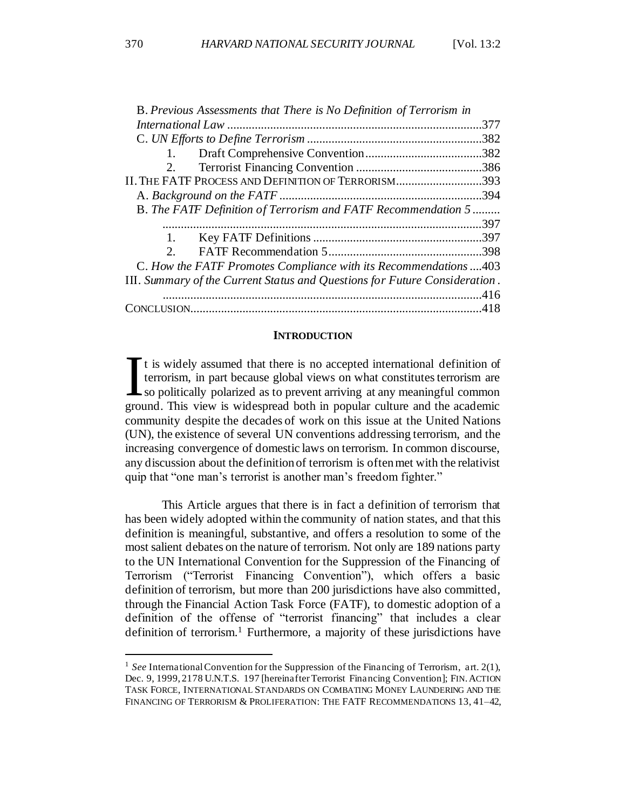| B. Previous Assessments that There is No Definition of Terrorism in        |          |
|----------------------------------------------------------------------------|----------|
|                                                                            | .377     |
|                                                                            | .382     |
| 1.                                                                         |          |
| 2.                                                                         |          |
| II. THE FATF PROCESS AND DEFINITION OF TERRORISM393                        |          |
|                                                                            | .394     |
| B. The FATF Definition of Terrorism and FATF Recommendation 5              | $\cdots$ |
|                                                                            | .397     |
| 1.                                                                         |          |
| 2 <sup>1</sup>                                                             |          |
| C. How the FATF Promotes Compliance with its Recommendations 403           |          |
| III. Summary of the Current Status and Questions for Future Consideration. |          |
|                                                                            |          |
|                                                                            |          |
|                                                                            |          |

#### **INTRODUCTION**

It is widely assumed that there is no accepted international definition of terrorism, in part because global views on what constitutes terrorism are so politically polarized as to prevent arriving at any meaningful common It is widely assumed that there is no accepted international definition of terrorism, in part because global views on what constitutes terrorism are so politically polarized as to prevent arriving at any meaningful common community despite the decades of work on this issue at the United Nations (UN), the existence of several UN conventions addressing terrorism, and the increasing convergence of domestic laws on terrorism. In common discourse, any discussion about the definition of terrorism is often met with the relativist quip that "one man's terrorist is another man's freedom fighter."

This Article argues that there is in fact a definition of terrorism that has been widely adopted within the community of nation states, and that this definition is meaningful, substantive, and offers a resolution to some of the most salient debates on the nature of terrorism. Not only are 189 nations party to the UN International Convention for the Suppression of the Financing of Terrorism ("Terrorist Financing Convention"), which offers a basic definition of terrorism, but more than 200 jurisdictions have also committed, through the Financial Action Task Force (FATF), to domestic adoption of a definition of the offense of "terrorist financing" that includes a clear definition of terrorism.<sup>1</sup> Furthermore, a majority of these jurisdictions have

<sup>&</sup>lt;sup>1</sup> See International Convention for the Suppression of the Financing of Terrorism, art.  $2(1)$ , Dec. 9, 1999, 2178 U.N.T.S. 197 [hereinafter Terrorist Financing Convention]; FIN.ACTION TASK FORCE, INTERNATIONAL STANDARDS ON COMBATING MONEY LAUNDERING AND THE FINANCING OF TERRORISM & PROLIFERATION: THE FATF RECOMMENDATIONS 13, 41–42,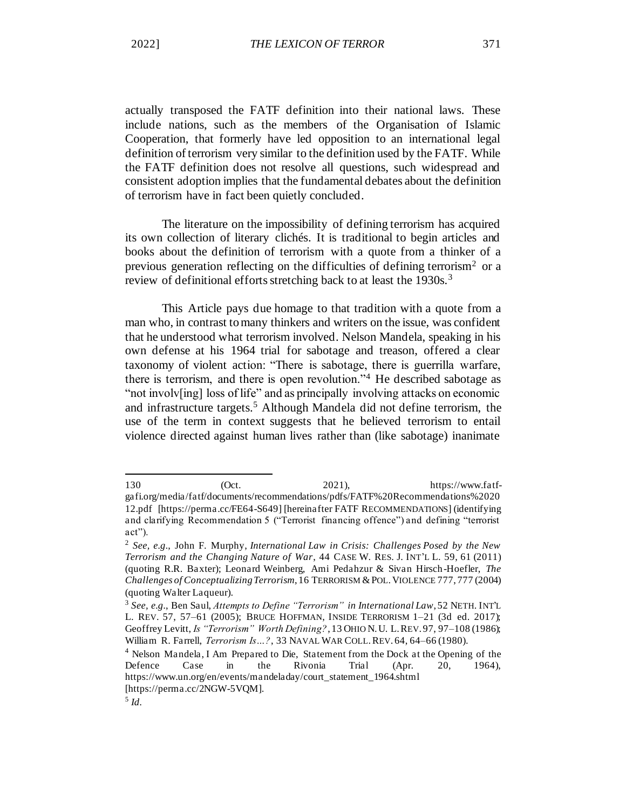actually transposed the FATF definition into their national laws. These include nations, such as the members of the Organisation of Islamic Cooperation, that formerly have led opposition to an international legal definition of terrorism very similar to the definition used by the FATF. While the FATF definition does not resolve all questions, such widespread and consistent adoption implies that the fundamental debates about the definition of terrorism have in fact been quietly concluded.

The literature on the impossibility of defining terrorism has acquired its own collection of literary clichés. It is traditional to begin articles and books about the definition of terrorism with a quote from a thinker of a previous generation reflecting on the difficulties of defining terrorism<sup>2</sup> or a review of definitional efforts stretching back to at least the 1930s.<sup>3</sup>

This Article pays due homage to that tradition with a quote from a man who, in contrast to many thinkers and writers on the issue, was confident that he understood what terrorism involved. Nelson Mandela, speaking in his own defense at his 1964 trial for sabotage and treason, offered a clear taxonomy of violent action: "There is sabotage, there is guerrilla warfare, there is terrorism, and there is open revolution."<sup>4</sup> He described sabotage as "not involv[ing] loss of life" and as principally involving attacks on economic and infrastructure targets.<sup>5</sup> Although Mandela did not define terrorism, the use of the term in context suggests that he believed terrorism to entail violence directed against human lives rather than (like sabotage) inanimate

<sup>130 (</sup>Oct. 2021), https://www.fatfgafi.org/media/fatf/documents/recommendations/pdfs/FATF%20Recommendations%2020 12.pdf [https://perma.cc/FE64-S649] [hereinafter FATF RECOMMENDATIONS] (identifying and clarifying Recommendation 5 ("Terrorist financing offence") and defining "terrorist act").

<sup>2</sup> *See, e.g.*, John F. Murphy, *International Law in Crisis: Challenges Posed by the New Terrorism and the Changing Nature of War*, 44 CASE W. RES. J. INT'L L. 59, 61 (2011) (quoting R.R. Baxter); Leonard Weinberg, Ami Pedahzur & Sivan Hirsch-Hoefler, *The Challenges of Conceptualizing Terrorism*, 16 TERRORISM &POL.VIOLENCE 777, 777 (2004) (quoting Walter Laqueur).

<sup>3</sup> *See, e.g.*, Ben Saul, *Attempts to Define "Terrorism" in International Law*, 52 NETH. INT'L L. REV. 57, 57–61 (2005); BRUCE HOFFMAN, INSIDE TERRORISM 1–21 (3d ed. 2017); Geoffrey Levitt, *Is "Terrorism" Worth Defining?*, 13 OHIO N.U. L.REV. 97, 97–108 (1986); William R. Farrell, *Terrorism Is…?*, 33 NAVAL WAR COLL.REV. 64, 64–66 (1980).

<sup>4</sup> Nelson Mandela, I Am Prepared to Die, Statement from the Dock at the Opening of the Defence Case in the Rivonia Trial (Apr. 20, 1964), https://www.un.org/en/events/mandeladay/court\_statement\_1964.shtml [https://perma.cc/2NGW-5VQM].

<sup>5</sup> *Id.*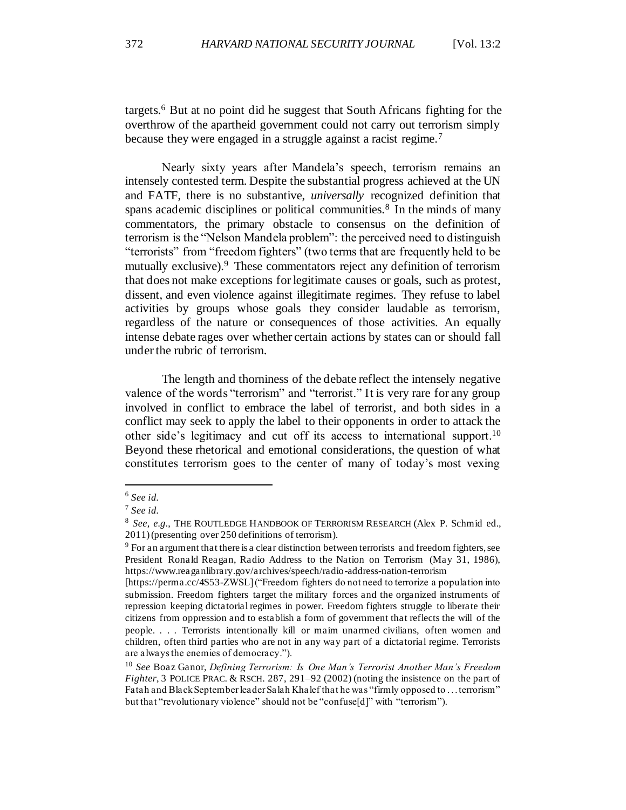targets.<sup>6</sup> But at no point did he suggest that South Africans fighting for the overthrow of the apartheid government could not carry out terrorism simply because they were engaged in a struggle against a racist regime.<sup>7</sup>

Nearly sixty years after Mandela's speech, terrorism remains an intensely contested term. Despite the substantial progress achieved at the UN and FATF, there is no substantive, *universally* recognized definition that spans academic disciplines or political communities.<sup>8</sup> In the minds of many commentators, the primary obstacle to consensus on the definition of terrorism is the "Nelson Mandela problem": the perceived need to distinguish "terrorists" from "freedom fighters" (two terms that are frequently held to be mutually exclusive).<sup>9</sup> These commentators reject any definition of terrorism that does not make exceptions for legitimate causes or goals, such as protest, dissent, and even violence against illegitimate regimes. They refuse to label activities by groups whose goals they consider laudable as terrorism, regardless of the nature or consequences of those activities. An equally intense debate rages over whether certain actions by states can or should fall under the rubric of terrorism.

The length and thorniness of the debate reflect the intensely negative valence of the words "terrorism" and "terrorist." It is very rare for any group involved in conflict to embrace the label of terrorist, and both sides in a conflict may seek to apply the label to their opponents in order to attack the other side's legitimacy and cut off its access to international support.<sup>10</sup> Beyond these rhetorical and emotional considerations, the question of what constitutes terrorism goes to the center of many of today's most vexing

<sup>6</sup> *See id.*

<sup>7</sup> *See id.*

<sup>&</sup>lt;sup>8</sup> See, e.g., THE ROUTLEDGE HANDBOOK OF TERRORISM RESEARCH (Alex P. Schmid ed., 2011) (presenting over 250 definitions of terrorism).

<sup>&</sup>lt;sup>9</sup> For an argument that there is a clear distinction between terrorists and freedom fighters, see President Ronald Reagan, Radio Address to the Nation on Terrorism (May 31, 1986), https://www.reaganlibrary.gov/archives/speech/radio-address-nation-terrorism

<sup>[</sup>https://perma.cc/4S53-ZWSL] ("Freedom fighters do not need to terrorize a population into submission. Freedom fighters target the military forces and the organized instruments of repression keeping dictatorial regimes in power. Freedom fighters struggle to liberate their citizens from oppression and to establish a form of government that reflects the will of the people. . . . Terrorists intentionally kill or maim unarmed civilians, often women and children, often third parties who are not in any way part of a dictatorial regime. Terrorists are always the enemies of democracy.").

<sup>10</sup> *See* Boaz Ganor, *Defining Terrorism: Is One Man's Terrorist Another Man's Freedom Fighter*, 3 POLICE PRAC. & RSCH. 287, 291–92 (2002) (noting the insistence on the part of Fatah and Black September leader Salah Khalef that he was "firmly opposed to . . . terrorism" but that "revolutionary violence" should not be "confuse[d]" with "terrorism").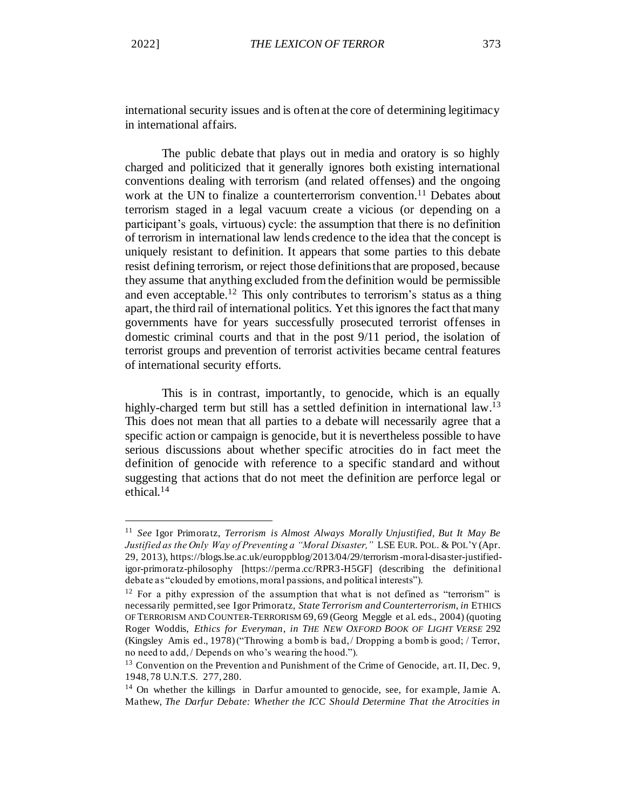international security issues and is often at the core of determining legitimacy in international affairs.

The public debate that plays out in media and oratory is so highly charged and politicized that it generally ignores both existing international conventions dealing with terrorism (and related offenses) and the ongoing work at the UN to finalize a counterterrorism convention.<sup>11</sup> Debates about terrorism staged in a legal vacuum create a vicious (or depending on a participant's goals, virtuous) cycle: the assumption that there is no definition of terrorism in international law lends credence to the idea that the concept is uniquely resistant to definition. It appears that some parties to this debate resist defining terrorism, or reject those definitions that are proposed, because they assume that anything excluded from the definition would be permissible and even acceptable.<sup>12</sup> This only contributes to terrorism's status as a thing apart, the third rail of international politics. Yet this ignores the fact that many governments have for years successfully prosecuted terrorist offenses in domestic criminal courts and that in the post 9/11 period, the isolation of terrorist groups and prevention of terrorist activities became central features of international security efforts.

This is in contrast, importantly, to genocide, which is an equally highly-charged term but still has a settled definition in international law.<sup>13</sup> This does not mean that all parties to a debate will necessarily agree that a specific action or campaign is genocide, but it is nevertheless possible to have serious discussions about whether specific atrocities do in fact meet the definition of genocide with reference to a specific standard and without suggesting that actions that do not meet the definition are perforce legal or ethical.<sup>14</sup>

<sup>11</sup> *See* Igor Primoratz, *Terrorism is Almost Always Morally Unjustified, But It May Be Justified as the Only Way of Preventing a "Moral Disaster,"* LSE EUR. POL. & POL'Y (Apr. 29, 2013), https://blogs.lse.ac.uk/europpblog/2013/04/29/terrorism-moral-disaster-justifiedigor-primoratz-philosophy [https://perma.cc/RPR3-H5GF] (describing the definitional debate as "clouded by emotions, moral passions, and political interests").

 $12$  For a pithy expression of the assumption that what is not defined as "terrorism" is necessarily permitted, see Igor Primoratz, *State Terrorism and Counterterrorism*, *in* ETHICS OF TERRORISM AND COUNTER-TERRORISM 69, 69 (Georg Meggle et al. eds., 2004) (quoting Roger Woddis, *Ethics for Everyman*, *in THE NEW OXFORD BOOK OF LIGHT VERSE* 292 (Kingsley Amis ed., 1978)("Throwing a bomb is bad, / Dropping a bomb is good; / Terror, no need to add, / Depends on who's wearing the hood.").

<sup>&</sup>lt;sup>13</sup> Convention on the Prevention and Punishment of the Crime of Genocide, art. II, Dec. 9, 1948, 78 U.N.T.S. 277, 280.

<sup>&</sup>lt;sup>14</sup> On whether the killings in Darfur amounted to genocide, see, for example, Jamie A. Mathew, *The Darfur Debate: Whether the ICC Should Determine That the Atrocities in*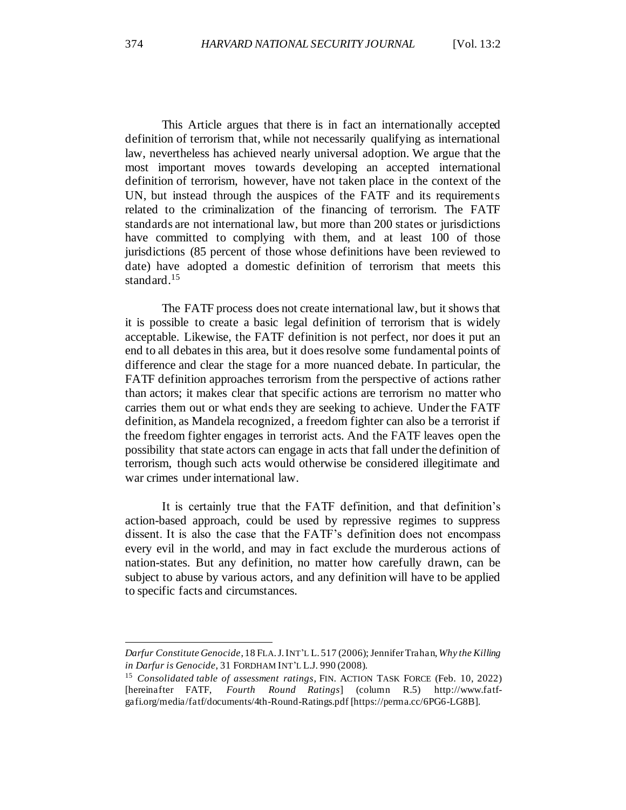This Article argues that there is in fact an internationally accepted definition of terrorism that, while not necessarily qualifying as international law, nevertheless has achieved nearly universal adoption. We argue that the most important moves towards developing an accepted international definition of terrorism, however, have not taken place in the context of the UN, but instead through the auspices of the FATF and its requirements related to the criminalization of the financing of terrorism. The FATF standards are not international law, but more than 200 states or jurisdictions have committed to complying with them, and at least 100 of those jurisdictions (85 percent of those whose definitions have been reviewed to date) have adopted a domestic definition of terrorism that meets this standard.<sup>15</sup>

The FATF process does not create international law, but it shows that it is possible to create a basic legal definition of terrorism that is widely acceptable. Likewise, the FATF definition is not perfect, nor does it put an end to all debates in this area, but it does resolve some fundamental points of difference and clear the stage for a more nuanced debate. In particular, the FATF definition approaches terrorism from the perspective of actions rather than actors; it makes clear that specific actions are terrorism no matter who carries them out or what ends they are seeking to achieve. Under the FATF definition, as Mandela recognized, a freedom fighter can also be a terrorist if the freedom fighter engages in terrorist acts. And the FATF leaves open the possibility that state actors can engage in acts that fall under the definition of terrorism, though such acts would otherwise be considered illegitimate and war crimes under international law.

It is certainly true that the FATF definition, and that definition's action-based approach, could be used by repressive regimes to suppress dissent. It is also the case that the FATF's definition does not encompass every evil in the world, and may in fact exclude the murderous actions of nation-states. But any definition, no matter how carefully drawn, can be subject to abuse by various actors, and any definition will have to be applied to specific facts and circumstances.

*Darfur Constitute Genocide*, 18 FLA.J.INT'L L. 517 (2006); Jennifer Trahan, *Why the Killing in Darfur is Genocide*, 31 FORDHAM INT'L L.J. 990 (2008).

<sup>15</sup> *Consolidated table of assessment ratings*, FIN. ACTION TASK FORCE (Feb. 10, 2022) [hereinafter FATF, *Fourth Round Ratings*] (column R.5) http://www.fatfgafi.org/media/fatf/documents/4th-Round-Ratings.pdf [https://perma.cc/6PG6-LG8B].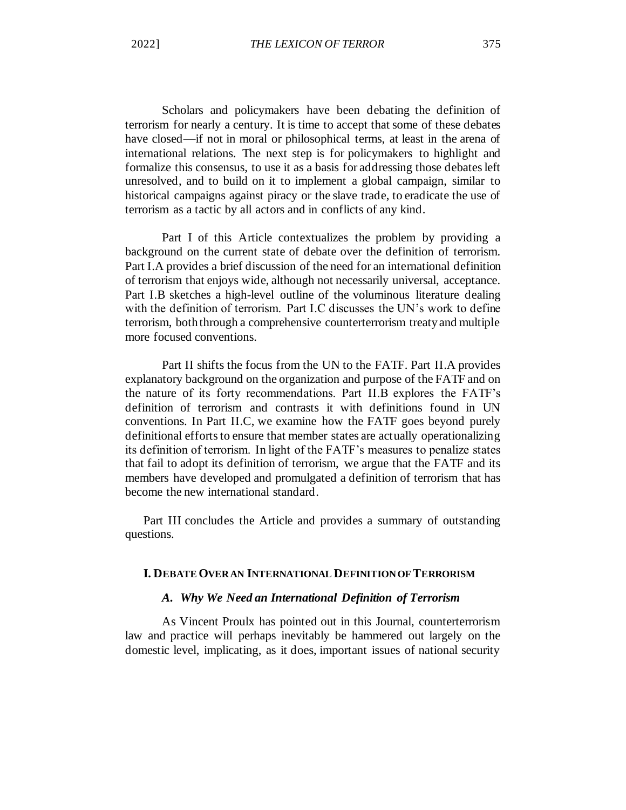Scholars and policymakers have been debating the definition of terrorism for nearly a century. It is time to accept that some of these debates have closed—if not in moral or philosophical terms, at least in the arena of international relations. The next step is for policymakers to highlight and formalize this consensus, to use it as a basis for addressing those debates left unresolved, and to build on it to implement a global campaign, similar to historical campaigns against piracy or the slave trade, to eradicate the use of terrorism as a tactic by all actors and in conflicts of any kind.

Part I of this Article contextualizes the problem by providing a background on the current state of debate over the definition of terrorism. Part I.A provides a brief discussion of the need for an international definition of terrorism that enjoys wide, although not necessarily universal, acceptance. Part I.B sketches a high-level outline of the voluminous literature dealing with the definition of terrorism. Part I.C discusses the UN's work to define terrorism, both through a comprehensive counterterrorism treaty and multiple more focused conventions.

Part II shifts the focus from the UN to the FATF. Part II.A provides explanatory background on the organization and purpose of the FATF and on the nature of its forty recommendations. Part II.B explores the FATF's definition of terrorism and contrasts it with definitions found in UN conventions. In Part II.C, we examine how the FATF goes beyond purely definitional efforts to ensure that member states are actually operationalizing its definition of terrorism. In light of the FATF's measures to penalize states that fail to adopt its definition of terrorism, we argue that the FATF and its members have developed and promulgated a definition of terrorism that has become the new international standard.

Part III concludes the Article and provides a summary of outstanding questions.

### **I. DEBATE OVER AN INTERNATIONAL DEFINITION OF TERRORISM**

#### *A. Why We Need an International Definition of Terrorism*

As Vincent Proulx has pointed out in this Journal, counterterrorism law and practice will perhaps inevitably be hammered out largely on the domestic level, implicating, as it does, important issues of national security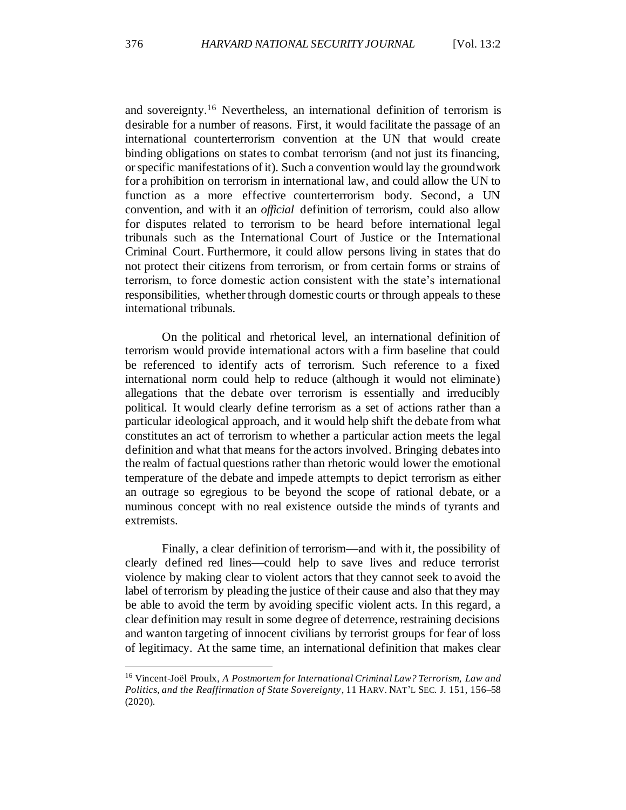and sovereignty.<sup>16</sup> Nevertheless, an international definition of terrorism is desirable for a number of reasons. First, it would facilitate the passage of an international counterterrorism convention at the UN that would create binding obligations on states to combat terrorism (and not just its financing, or specific manifestations of it). Such a convention would lay the groundwork for a prohibition on terrorism in international law, and could allow the UN to function as a more effective counterterrorism body. Second, a UN convention, and with it an *official* definition of terrorism, could also allow for disputes related to terrorism to be heard before international legal tribunals such as the International Court of Justice or the International Criminal Court. Furthermore, it could allow persons living in states that do not protect their citizens from terrorism, or from certain forms or strains of terrorism, to force domestic action consistent with the state's international responsibilities, whether through domestic courts or through appeals to these international tribunals.

On the political and rhetorical level, an international definition of terrorism would provide international actors with a firm baseline that could be referenced to identify acts of terrorism. Such reference to a fixed international norm could help to reduce (although it would not eliminate) allegations that the debate over terrorism is essentially and irreducibly political. It would clearly define terrorism as a set of actions rather than a particular ideological approach, and it would help shift the debate from what constitutes an act of terrorism to whether a particular action meets the legal definition and what that means for the actors involved. Bringing debates into the realm of factual questions rather than rhetoric would lower the emotional temperature of the debate and impede attempts to depict terrorism as either an outrage so egregious to be beyond the scope of rational debate, or a numinous concept with no real existence outside the minds of tyrants and extremists.

Finally, a clear definition of terrorism—and with it, the possibility of clearly defined red lines—could help to save lives and reduce terrorist violence by making clear to violent actors that they cannot seek to avoid the label of terrorism by pleading the justice of their cause and also that they may be able to avoid the term by avoiding specific violent acts. In this regard, a clear definition may result in some degree of deterrence, restraining decisions and wanton targeting of innocent civilians by terrorist groups for fear of loss of legitimacy. At the same time, an international definition that makes clear

<sup>16</sup> Vincent-Joël Proulx, *A Postmortem for International Criminal Law? Terrorism, Law and Politics, and the Reaffirmation of State Sovereignty*, 11 HARV. NAT'L SEC. J. 151, 156–58 (2020).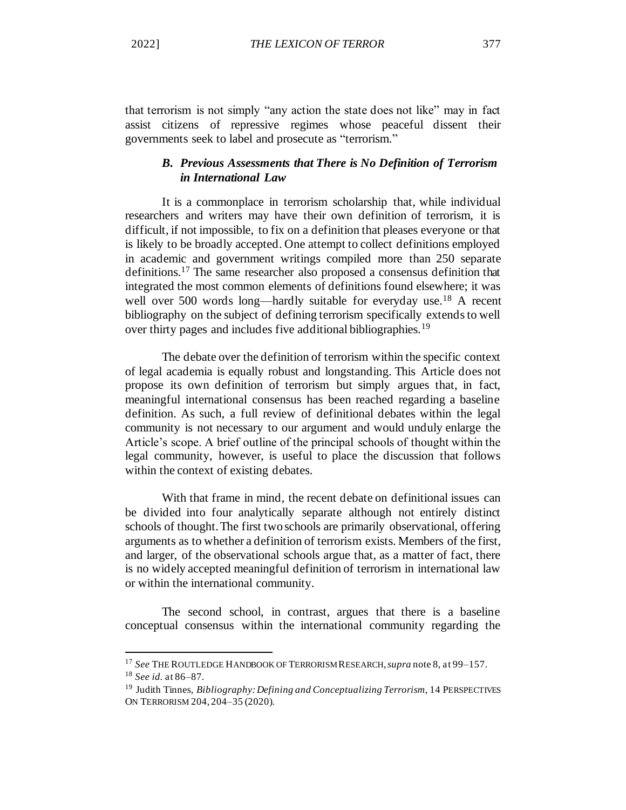that terrorism is not simply "any action the state does not like" may in fact assist citizens of repressive regimes whose peaceful dissent their governments seek to label and prosecute as "terrorism."

## *B. Previous Assessments that There is No Definition of Terrorism in International Law*

It is a commonplace in terrorism scholarship that, while individual researchers and writers may have their own definition of terrorism, it is difficult, if not impossible, to fix on a definition that pleases everyone or that is likely to be broadly accepted. One attempt to collect definitions employed in academic and government writings compiled more than 250 separate definitions.<sup>17</sup> The same researcher also proposed a consensus definition that integrated the most common elements of definitions found elsewhere; it was well over 500 words long—hardly suitable for everyday use.<sup>18</sup> A recent bibliography on the subject of defining terrorism specifically extends to well over thirty pages and includes five additional bibliographies.<sup>19</sup>

The debate over the definition of terrorism within the specific context of legal academia is equally robust and longstanding. This Article does not propose its own definition of terrorism but simply argues that, in fact, meaningful international consensus has been reached regarding a baseline definition. As such, a full review of definitional debates within the legal community is not necessary to our argument and would unduly enlarge the Article's scope. A brief outline of the principal schools of thought within the legal community, however, is useful to place the discussion that follows within the context of existing debates.

With that frame in mind, the recent debate on definitional issues can be divided into four analytically separate although not entirely distinct schools of thought. The first two schools are primarily observational, offering arguments as to whether a definition of terrorism exists. Members of the first, and larger, of the observational schools argue that, as a matter of fact, there is no widely accepted meaningful definition of terrorism in international law or within the international community.

The second school, in contrast, argues that there is a baseline conceptual consensus within the international community regarding the

<sup>17</sup> *See* THE ROUTLEDGE HANDBOOK OF TERRORISM RESEARCH, *supra* note 8, at 99–157. <sup>18</sup> *See id.* at 86–87.

<sup>19</sup> Judith Tinnes, *Bibliography: Defining and Conceptualizing Terrorism*, 14 PERSPECTIVES ON TERRORISM 204, 204–35 (2020).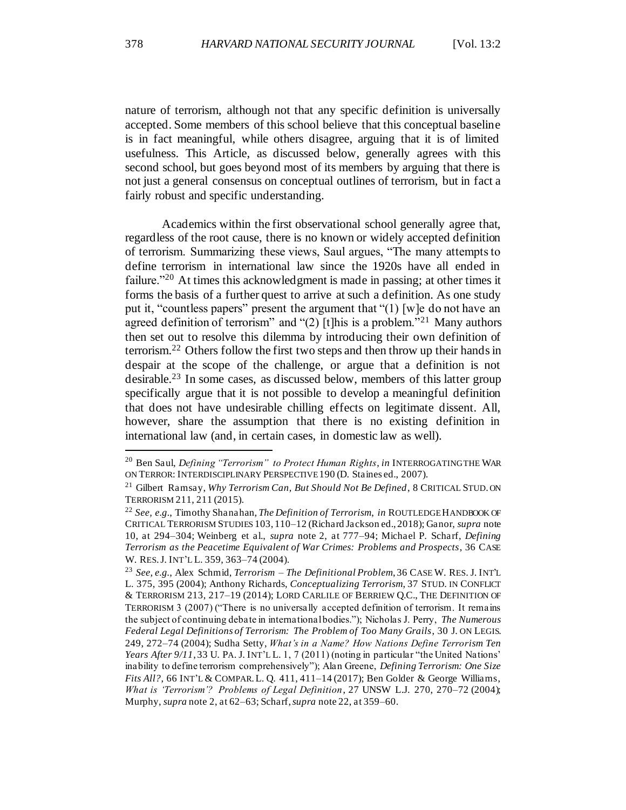nature of terrorism, although not that any specific definition is universally accepted. Some members of this school believe that this conceptual baseline is in fact meaningful, while others disagree, arguing that it is of limited usefulness. This Article, as discussed below, generally agrees with this second school, but goes beyond most of its members by arguing that there is not just a general consensus on conceptual outlines of terrorism, but in fact a fairly robust and specific understanding.

Academics within the first observational school generally agree that, regardless of the root cause, there is no known or widely accepted definition of terrorism. Summarizing these views, Saul argues, "The many attempts to define terrorism in international law since the 1920s have all ended in failure."<sup>20</sup> At times this acknowledgment is made in passing; at other times it forms the basis of a further quest to arrive at such a definition. As one study put it, "countless papers" present the argument that "(1) [w]e do not have an agreed definition of terrorism" and "(2) [t]his is a problem."<sup>21</sup> Many authors then set out to resolve this dilemma by introducing their own definition of terrorism.<sup>22</sup> Others follow the first two steps and then throw up their hands in despair at the scope of the challenge, or argue that a definition is not desirable.<sup>23</sup> In some cases, as discussed below, members of this latter group specifically argue that it is not possible to develop a meaningful definition that does not have undesirable chilling effects on legitimate dissent. All, however, share the assumption that there is no existing definition in international law (and, in certain cases, in domestic law as well).

<sup>20</sup> Ben Saul, *Defining "Terrorism" to Protect Human Rights*, *in* INTERROGATING THE WAR ON TERROR: INTERDISCIPLINARY PERSPECTIVE190 (D. Staines ed., 2007).

<sup>21</sup> Gilbert Ramsay, *Why Terrorism Can, But Should Not Be Defined*, 8 CRITICAL STUD. ON TERRORISM 211, 211 (2015).

<sup>22</sup> *See, e.g.*, Timothy Shanahan, *The Definition of Terrorism*, *in* ROUTLEDGE HANDBOOK OF CRITICAL TERRORISM STUDIES 103, 110–12 (Richard Jackson ed., 2018); Ganor, *supra* note 10, at 294–304; Weinberg et al., *supra* note 2, at 777–94; Michael P. Scharf, *Defining Terrorism as the Peacetime Equivalent of War Crimes: Problems and Prospects*, 36 CASE W. RES.J. INT'L L. 359, 363–74 (2004).

<sup>23</sup> *See, e.g.*, Alex Schmid, *Terrorism – The Definitional Problem*, 36 CASE W. RES. J. INT'L L. 375, 395 (2004); Anthony Richards, *Conceptualizing Terrorism*, 37 STUD. IN CONFLICT & TERRORISM 213, 217–19 (2014); LORD CARLILE OF BERRIEW Q.C., THE DEFINITION OF TERRORISM 3 (2007) ("There is no universally accepted definition of terrorism. It remains the subject of continuing debate in international bodies."); Nicholas J. Perry, *The Numerous Federal Legal Definitions of Terrorism: The Problem of Too Many Grails*, 30 J. ON LEGIS. 249, 272–74 (2004); Sudha Setty, *What's in a Name? How Nations Define Terrorism Ten Years After 9/11*, 33 U. PA. J. INT'L L. 1, 7 (2011) (noting in particular "the United Nations' inability to define terrorism comprehensively"); Alan Greene, *Defining Terrorism: One Size Fits All?*, 66 INT'L & COMPAR.L. Q. 411, 411–14 (2017); Ben Golder & George Williams, *What is 'Terrorism'? Problems of Legal Definition*, 27 UNSW L.J. 270, 270–72 (2004); Murphy, *supra* note 2, at 62–63; Scharf, *supra* note 22, at 359–60.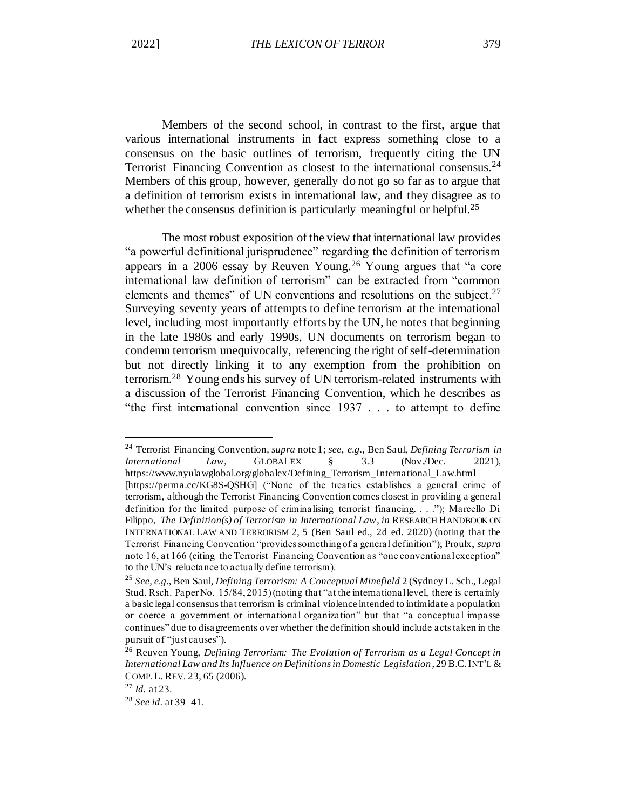Members of the second school, in contrast to the first, argue that various international instruments in fact express something close to a consensus on the basic outlines of terrorism, frequently citing the UN Terrorist Financing Convention as closest to the international consensus.<sup>24</sup> Members of this group, however, generally do not go so far as to argue that a definition of terrorism exists in international law, and they disagree as to whether the consensus definition is particularly meaningful or helpful.<sup>25</sup>

The most robust exposition of the view that international law provides "a powerful definitional jurisprudence" regarding the definition of terrorism appears in a 2006 essay by Reuven Young.<sup>26</sup> Young argues that "a core international law definition of terrorism" can be extracted from "common elements and themes" of UN conventions and resolutions on the subject. $27$ Surveying seventy years of attempts to define terrorism at the international level, including most importantly efforts by the UN, he notes that beginning in the late 1980s and early 1990s, UN documents on terrorism began to condemn terrorism unequivocally, referencing the right of self-determination but not directly linking it to any exemption from the prohibition on terrorism.<sup>28</sup> Young ends his survey of UN terrorism-related instruments with a discussion of the Terrorist Financing Convention, which he describes as "the first international convention since 1937 . . . to attempt to define

<sup>24</sup> Terrorist Financing Convention, *supra* note 1; *see, e.g.*, Ben Saul, *Defining Terrorism in International Law*, GLOBALEX § 3.3 (Nov./Dec. 2021), https://www.nyulawglobal.org/globalex/Defining\_Terrorism\_International\_Law.html [https://perma.cc/KG8S-QSHG] ("None of the treaties establishes a general crime of terrorism, although the Terrorist Financing Convention comes closest in providing a general definition for the limited purpose of criminalising terrorist financing. . . ."); Marcello Di Filippo, *The Definition(s) of Terrorism in International Law*, *in* RESEARCH HANDBOOK ON INTERNATIONAL LAW AND TERRORISM 2, 5 (Ben Saul ed., 2d ed. 2020) (noting that the Terrorist Financing Convention "provides something of a general definition"); Proulx, *supra*  note 16, at 166 (citing the Terrorist Financing Convention as "one conventional exception" to the UN's reluctance to actually define terrorism).

<sup>25</sup> *See, e.g.*, Ben Saul, *Defining Terrorism: A Conceptual Minefield* 2 (Sydney L. Sch., Legal Stud. Rsch. Paper No. 15/84, 2015) (noting that "at the international level, there is certainly a basic legal consensus that terrorism is criminal violence intended to intimidate a population or coerce a government or international organization" but that "a conceptual impasse continues" due to disagreements over whether the definition should include acts taken in the pursuit of "just causes").

<sup>26</sup> Reuven Young, *Defining Terrorism: The Evolution of Terrorism as a Legal Concept in International Law and Its Influence on Definitions in Domestic Legislation* , 29 B.C.INT'L & COMP.L. REV. 23, 65 (2006).

<sup>27</sup> *Id.* at 23.

<sup>28</sup> *See id.* at 39–41.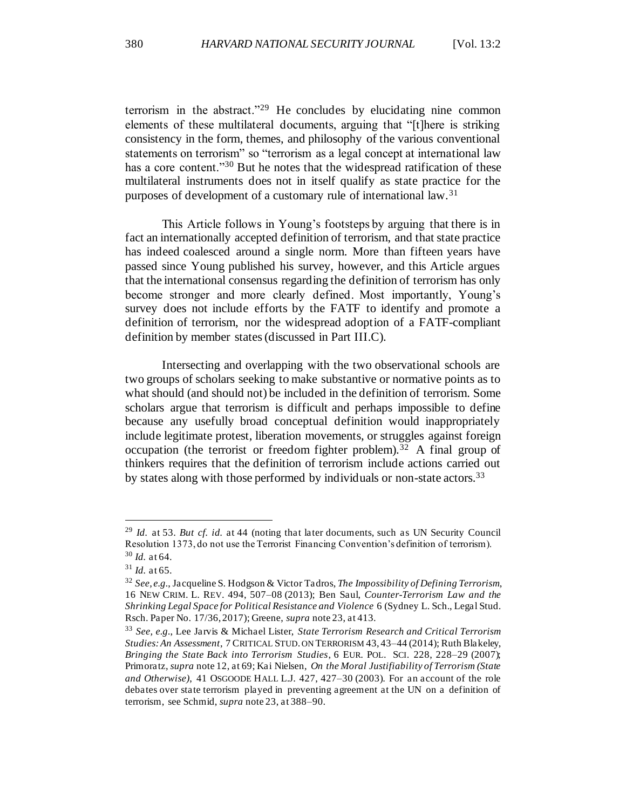terrorism in the abstract."<sup>29</sup> He concludes by elucidating nine common elements of these multilateral documents, arguing that "[t]here is striking consistency in the form, themes, and philosophy of the various conventional statements on terrorism" so "terrorism as a legal concept at international law has a core content."<sup>30</sup> But he notes that the widespread ratification of these multilateral instruments does not in itself qualify as state practice for the purposes of development of a customary rule of international law.<sup>31</sup>

This Article follows in Young's footsteps by arguing that there is in fact an internationally accepted definition of terrorism, and that state practice has indeed coalesced around a single norm. More than fifteen years have passed since Young published his survey, however, and this Article argues that the international consensus regarding the definition of terrorism has only become stronger and more clearly defined. Most importantly, Young's survey does not include efforts by the FATF to identify and promote a definition of terrorism, nor the widespread adoption of a FATF-compliant definition by member states (discussed in Part III.C).

Intersecting and overlapping with the two observational schools are two groups of scholars seeking to make substantive or normative points as to what should (and should not) be included in the definition of terrorism. Some scholars argue that terrorism is difficult and perhaps impossible to define because any usefully broad conceptual definition would inappropriately include legitimate protest, liberation movements, or struggles against foreign occupation (the terrorist or freedom fighter problem).<sup>32</sup> A final group of thinkers requires that the definition of terrorism include actions carried out by states along with those performed by individuals or non-state actors.<sup>33</sup>

<sup>29</sup> *Id.* at 53. *But cf. id.* at 44 (noting that later documents, such as UN Security Council Resolution 1373, do not use the Terrorist Financing Convention's definition of terrorism). <sup>30</sup> *Id.* at 64.

<sup>31</sup> *Id.* at 65.

<sup>32</sup> *See, e.g.*, Jacqueline S. Hodgson & Victor Tadros, *The Impossibility of Defining Terrorism*, 16 NEW CRIM. L. REV. 494, 507–08 (2013); Ben Saul, *Counter-Terrorism Law and the Shrinking Legal Space for Political Resistance and Violence* 6 (Sydney L. Sch., Legal Stud. Rsch. Paper No. 17/36, 2017); Greene, *supra* note 23, at 413.

<sup>33</sup> *See, e.g.*, Lee Jarvis & Michael Lister, *State Terrorism Research and Critical Terrorism Studies: An Assessment*, 7 CRITICAL STUD. ON TERRORISM 43, 43–44 (2014); Ruth Blakeley, *Bringing the State Back into Terrorism Studies*, 6 EUR. POL. SCI. 228, 228–29 (2007); Primoratz, *supra* note 12, at 69; Kai Nielsen, *On the Moral Justifiability of Terrorism (State and Otherwise)*, 41 OSGOODE HALL L.J. 427, 427–30 (2003). For an account of the role debates over state terrorism played in preventing agreement at the UN on a definition of terrorism, see Schmid, *supra* note 23, at 388–90.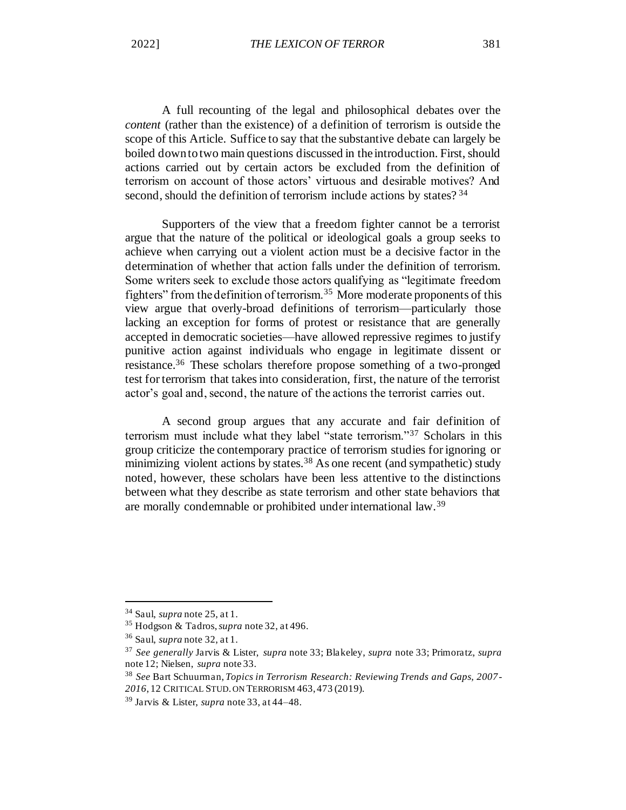A full recounting of the legal and philosophical debates over the *content* (rather than the existence) of a definition of terrorism is outside the scope of this Article. Suffice to say that the substantive debate can largely be boiled down to two main questions discussed in the introduction. First, should actions carried out by certain actors be excluded from the definition of terrorism on account of those actors' virtuous and desirable motives? And second, should the definition of terrorism include actions by states? 34

Supporters of the view that a freedom fighter cannot be a terrorist argue that the nature of the political or ideological goals a group seeks to achieve when carrying out a violent action must be a decisive factor in the determination of whether that action falls under the definition of terrorism. Some writers seek to exclude those actors qualifying as "legitimate freedom fighters" from the definition of terrorism.<sup>35</sup> More moderate proponents of this view argue that overly-broad definitions of terrorism—particularly those lacking an exception for forms of protest or resistance that are generally accepted in democratic societies—have allowed repressive regimes to justify punitive action against individuals who engage in legitimate dissent or resistance.<sup>36</sup> These scholars therefore propose something of a two-pronged test for terrorism that takes into consideration, first, the nature of the terrorist actor's goal and, second, the nature of the actions the terrorist carries out.

A second group argues that any accurate and fair definition of terrorism must include what they label "state terrorism."<sup>37</sup> Scholars in this group criticize the contemporary practice of terrorism studies for ignoring or minimizing violent actions by states.<sup>38</sup> As one recent (and sympathetic) study noted, however, these scholars have been less attentive to the distinctions between what they describe as state terrorism and other state behaviors that are morally condemnable or prohibited under international law.<sup>39</sup>

<sup>34</sup> Saul, *supra* note 25, at 1.

<sup>35</sup> Hodgson & Tadros, *supra* note 32, at 496.

<sup>36</sup> Saul, *supra* note 32, at 1.

<sup>37</sup> *See generally* Jarvis & Lister, *supra* note 33; Blakeley, *supra* note 33; Primoratz, *supra*  note 12; Nielsen, *supra* note 33.

<sup>38</sup> *See* Bart Schuurman, *Topics in Terrorism Research: Reviewing Trends and Gaps, 2007- 2016*, 12 CRITICAL STUD. ON TERRORISM 463, 473 (2019).

<sup>39</sup> Jarvis & Lister, *supra* note 33, at 44–48.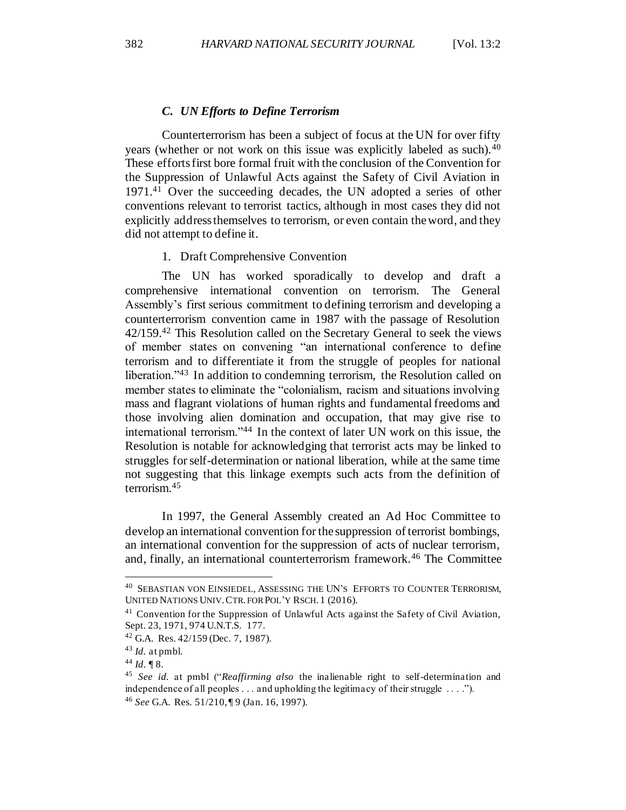#### *C. UN Efforts to Define Terrorism*

Counterterrorism has been a subject of focus at the UN for over fifty years (whether or not work on this issue was explicitly labeled as such).<sup>40</sup> These efforts first bore formal fruit with the conclusion of the Convention for the Suppression of Unlawful Acts against the Safety of Civil Aviation in 1971.<sup>41</sup> Over the succeeding decades, the UN adopted a series of other conventions relevant to terrorist tactics, although in most cases they did not explicitly address themselves to terrorism, or even contain the word, and they did not attempt to define it.

### 1. Draft Comprehensive Convention

The UN has worked sporadically to develop and draft a comprehensive international convention on terrorism. The General Assembly's first serious commitment to defining terrorism and developing a counterterrorism convention came in 1987 with the passage of Resolution 42/159.<sup>42</sup> This Resolution called on the Secretary General to seek the views of member states on convening "an international conference to define terrorism and to differentiate it from the struggle of peoples for national liberation."<sup>43</sup> In addition to condemning terrorism, the Resolution called on member states to eliminate the "colonialism, racism and situations involving mass and flagrant violations of human rights and fundamental freedoms and those involving alien domination and occupation, that may give rise to international terrorism."<sup>44</sup> In the context of later UN work on this issue, the Resolution is notable for acknowledging that terrorist acts may be linked to struggles for self-determination or national liberation, while at the same time not suggesting that this linkage exempts such acts from the definition of terrorism.<sup>45</sup>

In 1997, the General Assembly created an Ad Hoc Committee to develop an international convention for the suppression of terrorist bombings, an international convention for the suppression of acts of nuclear terrorism, and, finally, an international counterterrorism framework.<sup>46</sup> The Committee

<sup>40</sup> SEBASTIAN VON EINSIEDEL, ASSESSING THE UN'S EFFORTS TO COUNTER TERRORISM, UNITED NATIONS UNIV.CTR. FOR POL'Y RSCH. 1 (2016).

 $41$  Convention for the Suppression of Unlawful Acts against the Safety of Civil Aviation, Sept. 23, 1971, 974 U.N.T.S. 177.

 $42$  G.A. Res.  $42/159$  (Dec. 7, 1987).

<sup>43</sup> *Id.* at pmbl.

 $44$  *Id*. 18.

<sup>45</sup> *See id.* at pmbl ("*Reaffirming also* the inalienable right to self-determination and independence of all peoples . . . and upholding the legitimacy of their struggle . . . ."). <sup>46</sup> *See* G.A. Res. 51/210, ¶ 9 (Jan. 16, 1997).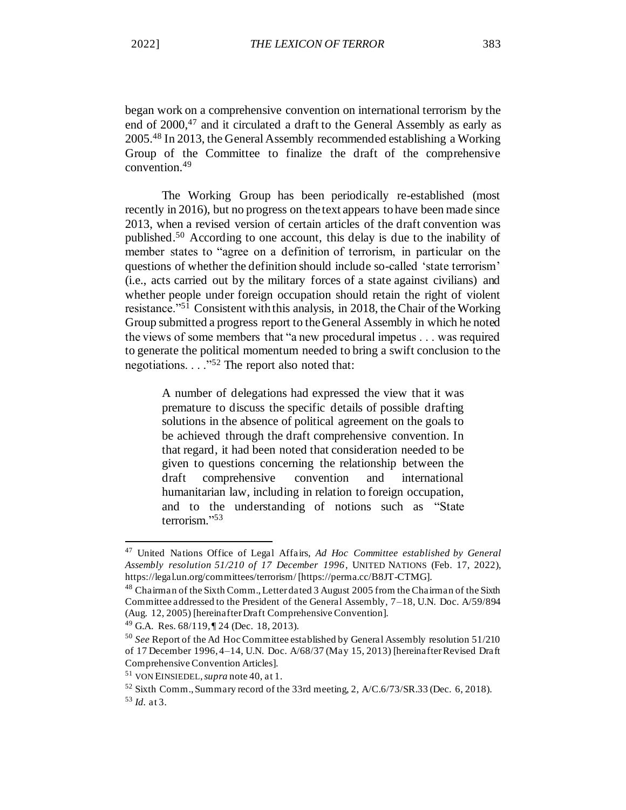began work on a comprehensive convention on international terrorism by the end of 2000,<sup>47</sup> and it circulated a draft to the General Assembly as early as 2005.<sup>48</sup> In 2013, the General Assembly recommended establishing a Working Group of the Committee to finalize the draft of the comprehensive convention.<sup>49</sup>

The Working Group has been periodically re-established (most recently in 2016), but no progress on the text appears to have been made since 2013, when a revised version of certain articles of the draft convention was published.<sup>50</sup> According to one account, this delay is due to the inability of member states to "agree on a definition of terrorism, in particular on the questions of whether the definition should include so-called 'state terrorism' (i.e., acts carried out by the military forces of a state against civilians) and whether people under foreign occupation should retain the right of violent resistance."<sup>51</sup> Consistent with this analysis, in 2018, the Chair of the Working Group submitted a progress report to the General Assembly in which he noted the views of some members that "a new procedural impetus . . . was required to generate the political momentum needed to bring a swift conclusion to the negotiations. . . ."<sup>52</sup> The report also noted that:

A number of delegations had expressed the view that it was premature to discuss the specific details of possible drafting solutions in the absence of political agreement on the goals to be achieved through the draft comprehensive convention. In that regard, it had been noted that consideration needed to be given to questions concerning the relationship between the draft comprehensive convention and international humanitarian law, including in relation to foreign occupation, and to the understanding of notions such as "State terrorism." 53

<sup>47</sup> United Nations Office of Legal Affairs, *Ad Hoc Committee established by General Assembly resolution 51/210 of 17 December 1996*, UNITED NATIONS (Feb. 17, 2022), https://legal.un.org/committees/terrorism/ [https://perma.cc/B8JT-CTMG].

<sup>48</sup> Chairman of the Sixth Comm., Letter dated 3 August 2005 from the Chairman of the Sixth Committee addressed to the President of the General Assembly, 7–18, U.N. Doc. A/59/894 (Aug. 12, 2005) [hereinafter Draft Comprehensive Convention].

<sup>49</sup> G.A. Res. 68/119, ¶ 24 (Dec. 18, 2013).

<sup>50</sup> *See* Report of the Ad Hoc Committee established by General Assembly resolution 51/210 of 17 December 1996, 4–14, U.N. Doc. A/68/37 (May 15, 2013) [hereinafter Revised Draft Comprehensive Convention Articles].

<sup>51</sup> VON EINSIEDEL, *supra* note 40, at 1.

<sup>52</sup> Sixth Comm., Summary record of the 33rd meeting, 2, A/C.6/73/SR.33 (Dec. 6, 2018). <sup>53</sup> *Id.* at 3.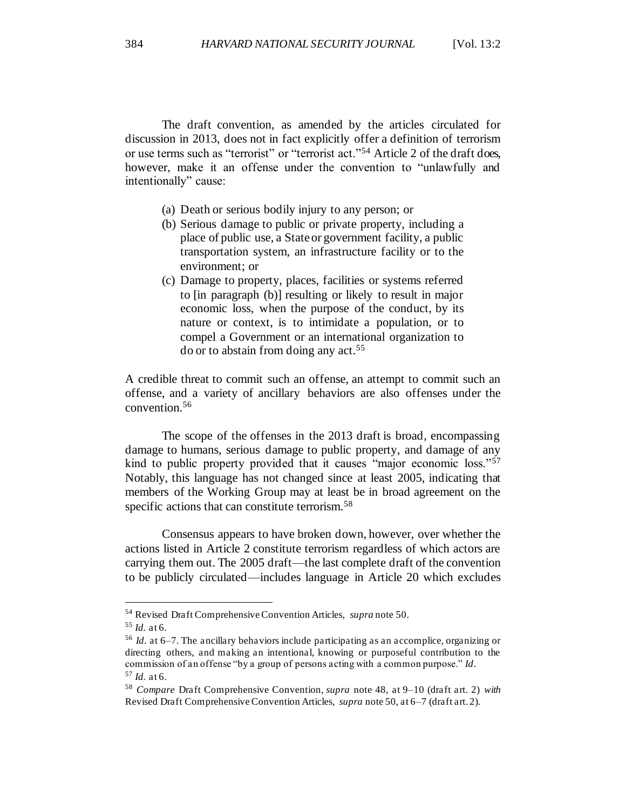The draft convention, as amended by the articles circulated for discussion in 2013, does not in fact explicitly offer a definition of terrorism or use terms such as "terrorist" or "terrorist act."<sup>54</sup> Article 2 of the draft does, however, make it an offense under the convention to "unlawfully and intentionally" cause:

- (a) Death or serious bodily injury to any person; or
- (b) Serious damage to public or private property, including a place of public use, a State or government facility, a public transportation system, an infrastructure facility or to the environment; or
- (c) Damage to property, places, facilities or systems referred to [in paragraph (b)] resulting or likely to result in major economic loss, when the purpose of the conduct, by its nature or context, is to intimidate a population, or to compel a Government or an international organization to do or to abstain from doing any act.<sup>55</sup>

A credible threat to commit such an offense, an attempt to commit such an offense, and a variety of ancillary behaviors are also offenses under the convention.<sup>56</sup>

The scope of the offenses in the 2013 draft is broad, encompassing damage to humans, serious damage to public property, and damage of any kind to public property provided that it causes "major economic loss."<sup>57</sup> Notably, this language has not changed since at least 2005, indicating that members of the Working Group may at least be in broad agreement on the specific actions that can constitute terrorism.<sup>58</sup>

Consensus appears to have broken down, however, over whether the actions listed in Article 2 constitute terrorism regardless of which actors are carrying them out. The 2005 draft—the last complete draft of the convention to be publicly circulated—includes language in Article 20 which excludes

<sup>54</sup> Revised Draft Comprehensive Convention Articles, *supra* note 50.

 $55$  *Id.* at 6.

<sup>56</sup> *Id*. at 6–7. The ancillary behaviors include participating as an accomplice, organizing or directing others, and making an intentional, knowing or purposeful contribution to the commission of an offense "by a group of persons acting with a common purpose." *Id*. <sup>57</sup> *Id.* at 6.

<sup>58</sup> *Compare* Draft Comprehensive Convention, *supra* note 48, at 9–10 (draft art. 2) *with*  Revised Draft Comprehensive Convention Articles, *supra* note 50, at 6–7 (draft art. 2).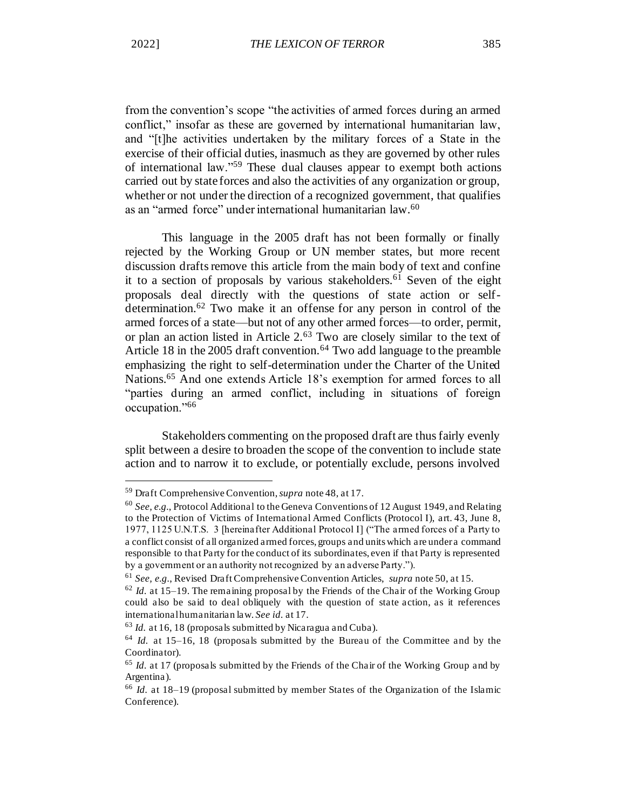from the convention's scope "the activities of armed forces during an armed conflict," insofar as these are governed by international humanitarian law, and "[t]he activities undertaken by the military forces of a State in the exercise of their official duties, inasmuch as they are governed by other rules of international law."<sup>59</sup> These dual clauses appear to exempt both actions carried out by state forces and also the activities of any organization or group, whether or not under the direction of a recognized government, that qualifies as an "armed force" under international humanitarian law.<sup>60</sup>

This language in the 2005 draft has not been formally or finally rejected by the Working Group or UN member states, but more recent discussion drafts remove this article from the main body of text and confine it to a section of proposals by various stakeholders.<sup>61</sup> Seven of the eight proposals deal directly with the questions of state action or selfdetermination.<sup>62</sup> Two make it an offense for any person in control of the armed forces of a state—but not of any other armed forces—to order, permit, or plan an action listed in Article 2.<sup>63</sup> Two are closely similar to the text of Article 18 in the 2005 draft convention.<sup>64</sup> Two add language to the preamble emphasizing the right to self-determination under the Charter of the United Nations.<sup>65</sup> And one extends Article 18's exemption for armed forces to all "parties during an armed conflict, including in situations of foreign occupation."<sup>66</sup>

Stakeholders commenting on the proposed draft are thus fairly evenly split between a desire to broaden the scope of the convention to include state action and to narrow it to exclude, or potentially exclude, persons involved

<sup>59</sup> Draft Comprehensive Convention, *supra* note 48, at 17.

<sup>60</sup> *See, e.g.*, Protocol Additional to the Geneva Conventions of 12 August 1949, and Relating to the Protection of Victims of International Armed Conflicts (Protocol I), art. 43, June 8, 1977, 1125 U.N.T.S. 3 [hereinafter Additional Protocol I] ("The armed forces of a Party to a conflict consist of all organized armed forces, groups and units which are under a command responsible to that Party for the conduct of its subordinates, even if that Party is represented by a government or an authority not recognized by an adverse Party.").

<sup>61</sup> *See, e.g.*, Revised Draft Comprehensive Convention Articles, *supra* note 50, at 15.

<sup>62</sup> *Id.* at 15–19. The remaining proposal by the Friends of the Chair of the Working Group could also be said to deal obliquely with the question of state action, as it references international humanitarian law. *See id.* at 17.

<sup>63</sup> *Id.* at 16, 18 (proposals submitted by Nicaragua and Cuba).

<sup>64</sup> *Id.* at 15–16, 18 (proposals submitted by the Bureau of the Committee and by the Coordinator).

<sup>65</sup> *Id.* at 17 (proposals submitted by the Friends of the Chair of the Working Group and by Argentina).

<sup>66</sup> *Id.* at 18–19 (proposal submitted by member States of the Organization of the Islamic Conference).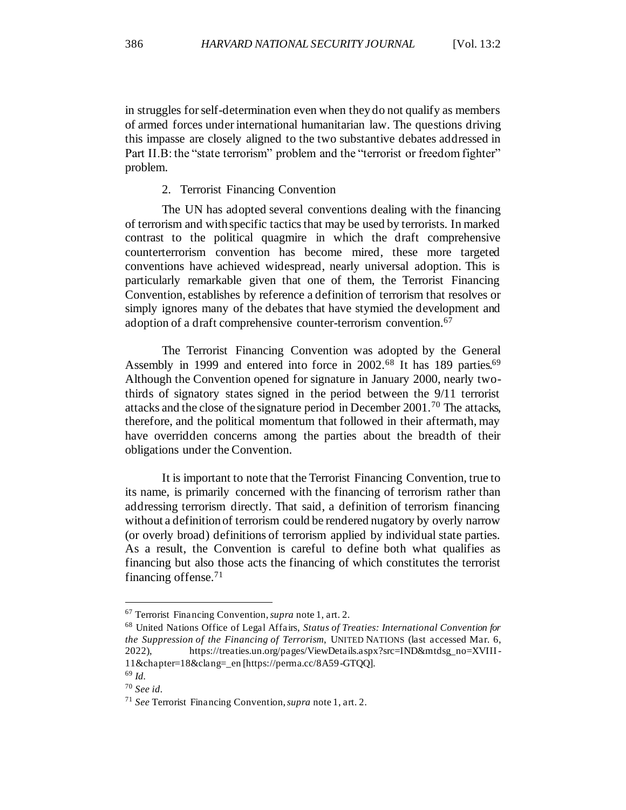in struggles for self-determination even when they do not qualify as members of armed forces under international humanitarian law. The questions driving this impasse are closely aligned to the two substantive debates addressed in Part II.B: the "state terrorism" problem and the "terrorist or freedom fighter" problem.

2. Terrorist Financing Convention

The UN has adopted several conventions dealing with the financing of terrorism and with specific tactics that may be used by terrorists. In marked contrast to the political quagmire in which the draft comprehensive counterterrorism convention has become mired, these more targeted conventions have achieved widespread, nearly universal adoption. This is particularly remarkable given that one of them, the Terrorist Financing Convention, establishes by reference a definition of terrorism that resolves or simply ignores many of the debates that have stymied the development and adoption of a draft comprehensive counter-terrorism convention.<sup>67</sup>

The Terrorist Financing Convention was adopted by the General Assembly in 1999 and entered into force in 2002.<sup>68</sup> It has 189 parties.<sup>69</sup> Although the Convention opened for signature in January 2000, nearly twothirds of signatory states signed in the period between the 9/11 terrorist attacks and the close of the signature period in December 2001.<sup>70</sup> The attacks, therefore, and the political momentum that followed in their aftermath, may have overridden concerns among the parties about the breadth of their obligations under the Convention.

It is important to note that the Terrorist Financing Convention, true to its name, is primarily concerned with the financing of terrorism rather than addressing terrorism directly. That said, a definition of terrorism financing without a definition of terrorism could be rendered nugatory by overly narrow (or overly broad) definitions of terrorism applied by individual state parties. As a result, the Convention is careful to define both what qualifies as financing but also those acts the financing of which constitutes the terrorist financing offense. $71$ 

<sup>67</sup> Terrorist Financing Convention, *supra* note 1, art. 2.

<sup>68</sup> United Nations Office of Legal Affairs, *Status of Treaties: International Convention for the Suppression of the Financing of Terrorism*, UNITED NATIONS (last accessed Mar. 6, 2022), https://treaties.un.org/pages/ViewDetails.aspx?src=IND&mtdsg\_no=XVIII-11&chapter=18&clang=\_en [https://perma.cc/8A59-GTQQ].

<sup>69</sup> *Id.*

<sup>70</sup> *See id.*

<sup>71</sup> *See* Terrorist Financing Convention, *supra* note 1, art. 2.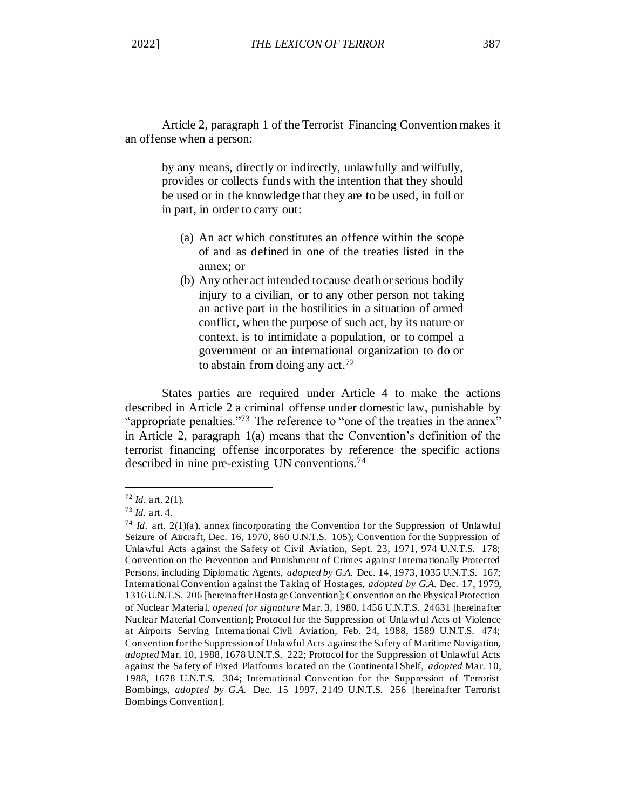Article 2, paragraph 1 of the Terrorist Financing Convention makes it an offense when a person:

by any means, directly or indirectly, unlawfully and wilfully, provides or collects funds with the intention that they should be used or in the knowledge that they are to be used, in full or in part, in order to carry out:

- (a) An act which constitutes an offence within the scope of and as defined in one of the treaties listed in the annex; or
- (b) Any other act intended to cause death or serious bodily injury to a civilian, or to any other person not taking an active part in the hostilities in a situation of armed conflict, when the purpose of such act, by its nature or context, is to intimidate a population, or to compel a government or an international organization to do or to abstain from doing any act.<sup>72</sup>

States parties are required under Article 4 to make the actions described in Article 2 a criminal offense under domestic law, punishable by "appropriate penalties."<sup>73</sup> The reference to "one of the treaties in the annex" in Article 2, paragraph 1(a) means that the Convention's definition of the terrorist financing offense incorporates by reference the specific actions described in nine pre-existing UN conventions.<sup>74</sup>

<sup>72</sup> *Id*. art. 2(1).

<sup>73</sup> *Id.* art. 4.

<sup>74</sup> *Id.* art. 2(1)(a), annex (incorporating the Convention for the Suppression of Unlawful Seizure of Aircraft, Dec. 16, 1970, 860 U.N.T.S. 105); Convention for the Suppression of Unlawful Acts against the Safety of Civil Aviation, Sept. 23, 1971, 974 U.N.T.S. 178; Convention on the Prevention and Punishment of Crimes against Internationally Protected Persons, including Diplomatic Agents, *adopted by G.A.* Dec. 14, 1973, 1035 U.N.T.S. 167; International Convention against the Taking of Hostages, *adopted by G.A.* Dec. 17, 1979, 1316 U.N.T.S. 206 [hereinafter Hostage Convention]; Convention on the Physical Protection of Nuclear Material, *opened for signature* Mar. 3, 1980, 1456 U.N.T.S. 24631 [hereinafter Nuclear Material Convention]; Protocol for the Suppression of Unlawf ul Acts of Violence at Airports Serving International Civil Aviation, Feb. 24, 1988, 1589 U.N.T.S. 474; Convention for the Suppression of Unlawful Acts against the Safety of Maritime Navigation, *adopted* Mar. 10, 1988, 1678 U.N.T.S. 222; Protocol for the Suppression of Unlawful Acts against the Safety of Fixed Platforms located on the Continental Shelf, *adopted* Mar. 10, 1988, 1678 U.N.T.S. 304; International Convention for the Suppression of Terrorist Bombings, *adopted by G.A.* Dec. 15 1997, 2149 U.N.T.S. 256 [hereinafter Terrorist Bombings Convention].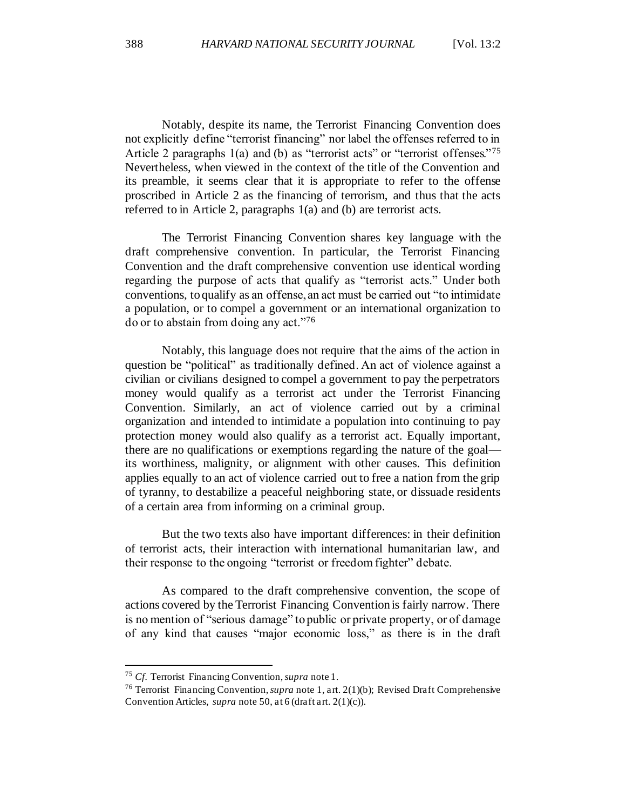Notably, despite its name, the Terrorist Financing Convention does not explicitly define "terrorist financing" nor label the offenses referred to in Article 2 paragraphs 1(a) and (b) as "terrorist acts" or "terrorist offenses."<sup>75</sup> Nevertheless, when viewed in the context of the title of the Convention and its preamble, it seems clear that it is appropriate to refer to the offense proscribed in Article 2 as the financing of terrorism, and thus that the acts referred to in Article 2, paragraphs 1(a) and (b) are terrorist acts.

The Terrorist Financing Convention shares key language with the draft comprehensive convention. In particular, the Terrorist Financing Convention and the draft comprehensive convention use identical wording regarding the purpose of acts that qualify as "terrorist acts." Under both conventions, to qualify as an offense, an act must be carried out "to intimidate a population, or to compel a government or an international organization to do or to abstain from doing any act."<sup>76</sup>

Notably, this language does not require that the aims of the action in question be "political" as traditionally defined. An act of violence against a civilian or civilians designed to compel a government to pay the perpetrators money would qualify as a terrorist act under the Terrorist Financing Convention. Similarly, an act of violence carried out by a criminal organization and intended to intimidate a population into continuing to pay protection money would also qualify as a terrorist act. Equally important, there are no qualifications or exemptions regarding the nature of the goal its worthiness, malignity, or alignment with other causes. This definition applies equally to an act of violence carried out to free a nation from the grip of tyranny, to destabilize a peaceful neighboring state, or dissuade residents of a certain area from informing on a criminal group.

But the two texts also have important differences: in their definition of terrorist acts, their interaction with international humanitarian law, and their response to the ongoing "terrorist or freedom fighter" debate.

As compared to the draft comprehensive convention, the scope of actions covered by the Terrorist Financing Convention is fairly narrow. There is no mention of "serious damage" to public or private property, or of damage of any kind that causes "major economic loss," as there is in the draft

<sup>75</sup> *Cf.* Terrorist Financing Convention, *supra* note 1.

<sup>76</sup> Terrorist Financing Convention, *supra* note 1, art. 2(1)(b); Revised Draft Comprehensive Convention Articles, *supra* note 50, at 6 (draft art. 2(1)(c)).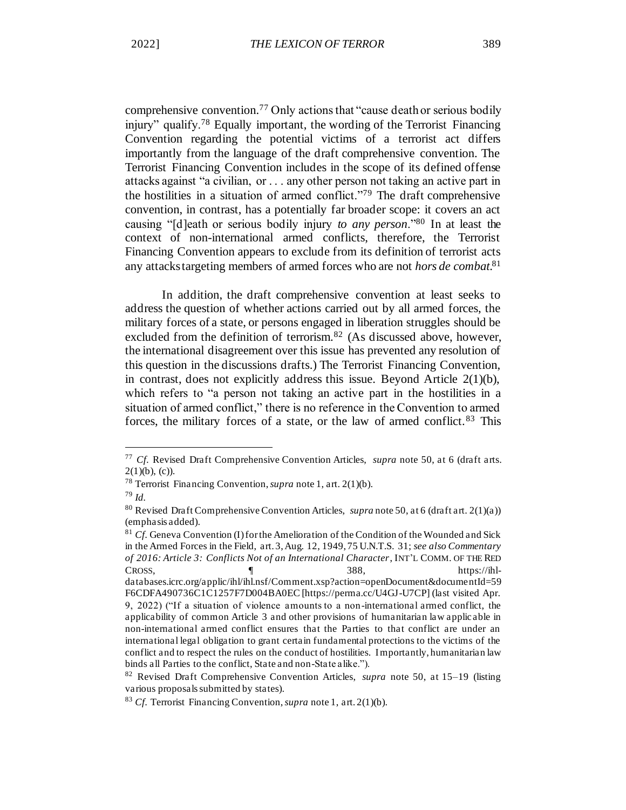comprehensive convention.<sup>77</sup> Only actions that "cause death or serious bodily injury" qualify.<sup>78</sup> Equally important, the wording of the Terrorist Financing Convention regarding the potential victims of a terrorist act differs importantly from the language of the draft comprehensive convention. The Terrorist Financing Convention includes in the scope of its defined offense attacks against "a civilian, or . . . any other person not taking an active part in the hostilities in a situation of armed conflict."<sup>79</sup> The draft comprehensive convention, in contrast, has a potentially far broader scope: it covers an act causing "[d]eath or serious bodily injury *to any person*."<sup>80</sup> In at least the context of non-international armed conflicts, therefore, the Terrorist Financing Convention appears to exclude from its definition of terrorist acts any attacks targeting members of armed forces who are not *hors de combat*. 81

In addition, the draft comprehensive convention at least seeks to address the question of whether actions carried out by all armed forces, the military forces of a state, or persons engaged in liberation struggles should be excluded from the definition of terrorism.<sup>82</sup> (As discussed above, however, the international disagreement over this issue has prevented any resolution of this question in the discussions drafts.) The Terrorist Financing Convention, in contrast, does not explicitly address this issue. Beyond Article 2(1)(b), which refers to "a person not taking an active part in the hostilities in a situation of armed conflict," there is no reference in the Convention to armed forces, the military forces of a state, or the law of armed conflict.<sup>83</sup> This

<sup>77</sup> *Cf.* Revised Draft Comprehensive Convention Articles, *supra* note 50, at 6 (draft arts.  $2(1)(b)$ , (c)).

<sup>78</sup> Terrorist Financing Convention, *supra* note 1, art. 2(1)(b).

<sup>79</sup> *Id.*

<sup>80</sup> Revised Draft Comprehensive Convention Articles, *supra* note 50, at 6 (draft art. 2(1)(a)) (emphasis added).

<sup>&</sup>lt;sup>81</sup> *Cf.* Geneva Convention (I) for the Amelioration of the Condition of the Wounded and Sick in the Armed Forces in the Field, art. 3, Aug. 12, 1949, 75 U.N.T.S. 31; *see also Commentary of 2016: Article 3: Conflicts Not of an International Character*, INT'L COMM. OF THE RED CROSS, ¶ 388, https://ihldatabases.icrc.org/applic/ihl/ihl.nsf/Comment.xsp?action=openDocument&documentId=59 F6CDFA490736C1C1257F7D004BA0EC [https://perma.cc/U4GJ-U7CP] (last visited Apr. 9, 2022) ("If a situation of violence amounts to a non-international armed conflict, the applicability of common Article 3 and other provisions of humanitarian law applic able in non-international armed conflict ensures that the Parties to that conflict are under an international legal obligation to grant certain fundamental protections to the victims of the conflict and to respect the rules on the conduct of hostilities. Importantly, humanitarian law binds all Parties to the conflict, State and non-State alike.").

<sup>82</sup> Revised Draft Comprehensive Convention Articles, *supra* note 50, at 15–19 (listing various proposals submitted by states).

<sup>83</sup> *Cf.* Terrorist Financing Convention, *supra* note 1, art. 2(1)(b).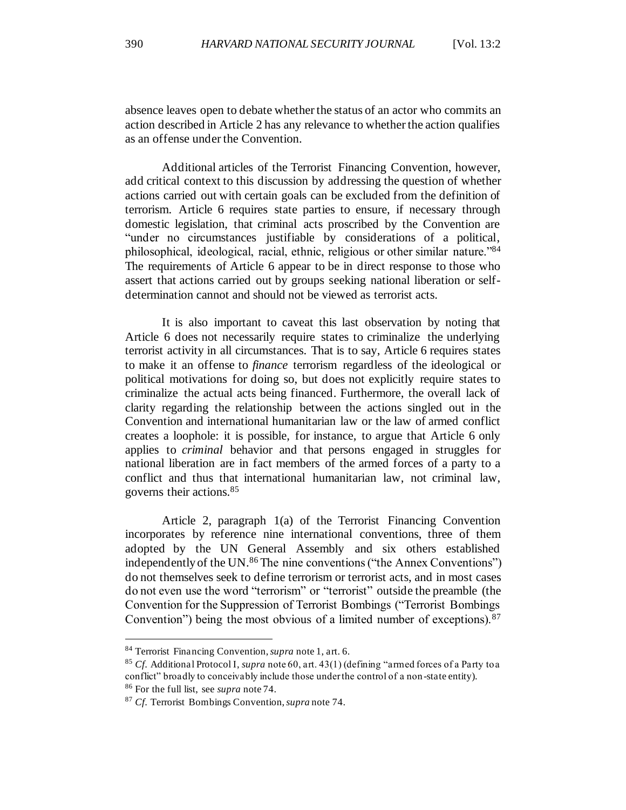Additional articles of the Terrorist Financing Convention, however, add critical context to this discussion by addressing the question of whether actions carried out with certain goals can be excluded from the definition of terrorism. Article 6 requires state parties to ensure, if necessary through domestic legislation, that criminal acts proscribed by the Convention are "under no circumstances justifiable by considerations of a political, philosophical, ideological, racial, ethnic, religious or other similar nature."<sup>84</sup> The requirements of Article 6 appear to be in direct response to those who assert that actions carried out by groups seeking national liberation or selfdetermination cannot and should not be viewed as terrorist acts.

It is also important to caveat this last observation by noting that Article 6 does not necessarily require states to criminalize the underlying terrorist activity in all circumstances. That is to say, Article 6 requires states to make it an offense to *finance* terrorism regardless of the ideological or political motivations for doing so, but does not explicitly require states to criminalize the actual acts being financed. Furthermore, the overall lack of clarity regarding the relationship between the actions singled out in the Convention and international humanitarian law or the law of armed conflict creates a loophole: it is possible, for instance, to argue that Article 6 only applies to *criminal* behavior and that persons engaged in struggles for national liberation are in fact members of the armed forces of a party to a conflict and thus that international humanitarian law, not criminal law, governs their actions.<sup>85</sup>

Article 2, paragraph 1(a) of the Terrorist Financing Convention incorporates by reference nine international conventions, three of them adopted by the UN General Assembly and six others established independently of the UN.<sup>86</sup> The nine conventions ("the Annex Conventions") do not themselves seek to define terrorism or terrorist acts, and in most cases do not even use the word "terrorism" or "terrorist" outside the preamble (the Convention for the Suppression of Terrorist Bombings ("Terrorist Bombings Convention") being the most obvious of a limited number of exceptions).<sup>87</sup>

<sup>84</sup> Terrorist Financing Convention, *supra* note 1, art. 6.

<sup>85</sup> *Cf.* Additional Protocol I, *supra* note 60, art. 43(1) (defining "armed forces of a Party to a conflict" broadly to conceivably include those under the control of a non -state entity). <sup>86</sup> For the full list, see *supra* note 74.

<sup>87</sup> *Cf.* Terrorist Bombings Convention, *supra* note 74.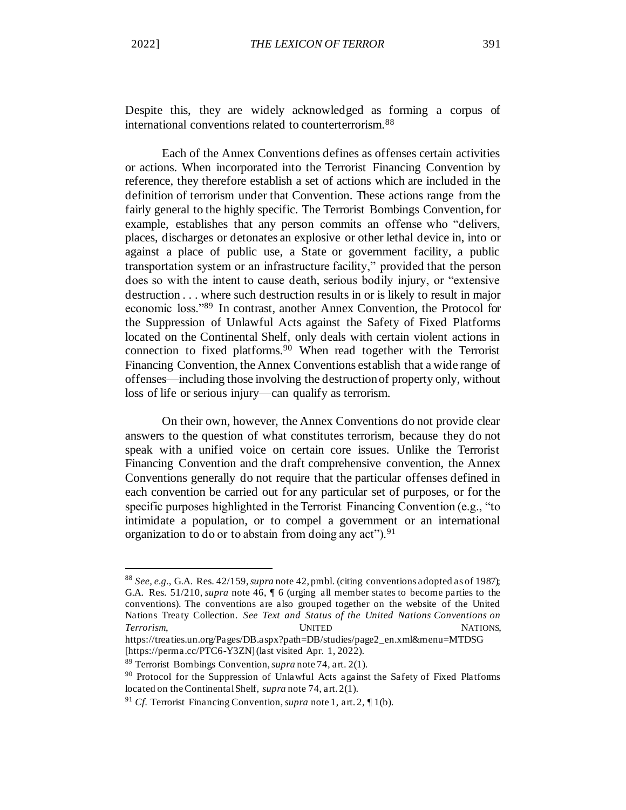Despite this, they are widely acknowledged as forming a corpus of international conventions related to counterterrorism.<sup>88</sup>

Each of the Annex Conventions defines as offenses certain activities or actions. When incorporated into the Terrorist Financing Convention by reference, they therefore establish a set of actions which are included in the definition of terrorism under that Convention. These actions range from the fairly general to the highly specific. The Terrorist Bombings Convention, for example, establishes that any person commits an offense who "delivers, places, discharges or detonates an explosive or other lethal device in, into or against a place of public use, a State or government facility, a public transportation system or an infrastructure facility," provided that the person does so with the intent to cause death, serious bodily injury, or "extensive destruction . . . where such destruction results in or is likely to result in major economic loss."<sup>89</sup> In contrast, another Annex Convention, the Protocol for the Suppression of Unlawful Acts against the Safety of Fixed Platforms located on the Continental Shelf, only deals with certain violent actions in connection to fixed platforms.<sup>90</sup> When read together with the Terrorist Financing Convention, the Annex Conventions establish that a wide range of offenses—including those involving the destruction of property only, without loss of life or serious injury—can qualify as terrorism.

On their own, however, the Annex Conventions do not provide clear answers to the question of what constitutes terrorism, because they do not speak with a unified voice on certain core issues. Unlike the Terrorist Financing Convention and the draft comprehensive convention, the Annex Conventions generally do not require that the particular offenses defined in each convention be carried out for any particular set of purposes, or for the specific purposes highlighted in the Terrorist Financing Convention (e.g., "to intimidate a population, or to compel a government or an international organization to do or to abstain from doing any  $act$ ").<sup>91</sup>

<sup>88</sup> *See, e.g.*, G.A. Res. 42/159, *supra* note 42, pmbl. (citing conventions adopted as of 1987); G.A. Res. 51/210, *supra* note 46, ¶ 6 (urging all member states to become parties to the conventions). The conventions are also grouped together on the website of the United Nations Treaty Collection. *See Text and Status of the United Nations Conventions on*  **Terrorism, UNITED NATIONS,** 

https://treaties.un.org/Pages/DB.aspx?path=DB/studies/page2\_en.xml&menu=MTDSG [https://perma.cc/PTC6-Y3ZN] (last visited Apr. 1, 2022).

<sup>89</sup> Terrorist Bombings Convention, *supra* note 74, art. 2(1).

<sup>&</sup>lt;sup>90</sup> Protocol for the Suppression of Unlawful Acts against the Safety of Fixed Platforms located on the Continental Shelf, *supra* note 74, art. 2(1).

<sup>91</sup> *Cf.* Terrorist Financing Convention, *supra* note 1, art. 2, ¶ 1(b).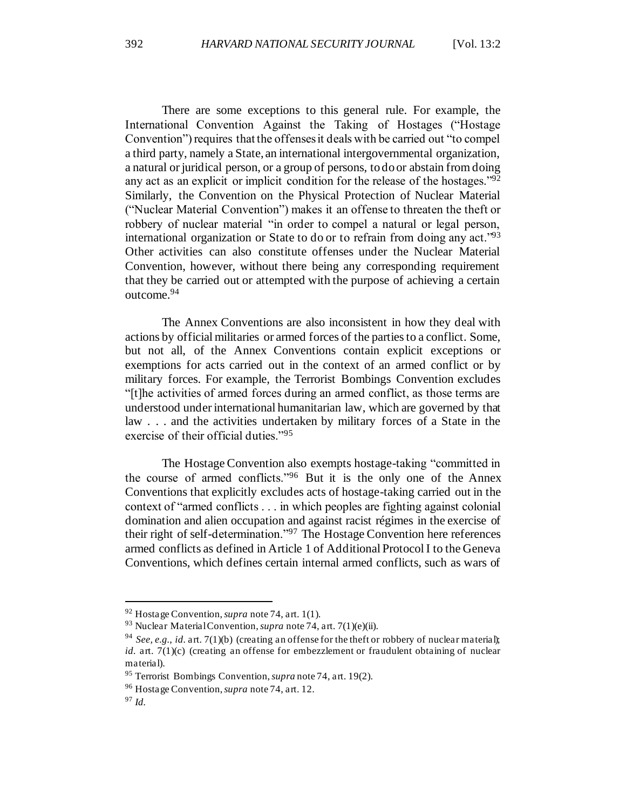There are some exceptions to this general rule. For example, the International Convention Against the Taking of Hostages ("Hostage Convention") requires that the offenses it deals with be carried out "to compel a third party, namely a State, an international intergovernmental organization, a natural or juridical person, or a group of persons, to do or abstain from doing any act as an explicit or implicit condition for the release of the hostages."<sup>92</sup> Similarly, the Convention on the Physical Protection of Nuclear Material ("Nuclear Material Convention") makes it an offense to threaten the theft or robbery of nuclear material "in order to compel a natural or legal person, international organization or State to do or to refrain from doing any act."<sup>93</sup> Other activities can also constitute offenses under the Nuclear Material Convention, however, without there being any corresponding requirement that they be carried out or attempted with the purpose of achieving a certain outcome.<sup>94</sup>

The Annex Conventions are also inconsistent in how they deal with actions by official militaries or armed forces of the parties to a conflict. Some, but not all, of the Annex Conventions contain explicit exceptions or exemptions for acts carried out in the context of an armed conflict or by military forces. For example, the Terrorist Bombings Convention excludes "[t]he activities of armed forces during an armed conflict, as those terms are understood under international humanitarian law, which are governed by that law . . . and the activities undertaken by military forces of a State in the exercise of their official duties."<sup>95</sup>

The Hostage Convention also exempts hostage-taking "committed in the course of armed conflicts."<sup>96</sup> But it is the only one of the Annex Conventions that explicitly excludes acts of hostage-taking carried out in the context of "armed conflicts . . . in which peoples are fighting against colonial domination and alien occupation and against racist régimes in the exercise of their right of self-determination."<sup>97</sup> The Hostage Convention here references armed conflicts as defined in Article 1 of Additional Protocol I to the Geneva Conventions, which defines certain internal armed conflicts, such as wars of

<sup>92</sup> Hostage Convention, *supra* note 74, art. 1(1).

<sup>93</sup> Nuclear Material Convention, *supra* note 74, art. 7(1)(e)(ii).

<sup>94</sup> *See, e.g.*, *id.* art. 7(1)(b) (creating an offense for the theft or robbery of nuclear material); *id.* art. 7(1)(c) (creating an offense for embezzlement or fraudulent obtaining of nuclear material).

<sup>95</sup> Terrorist Bombings Convention, *supra* note 74, art. 19(2).

<sup>96</sup> Hostage Convention, *supra* note 74, art. 12.

<sup>97</sup> *Id.*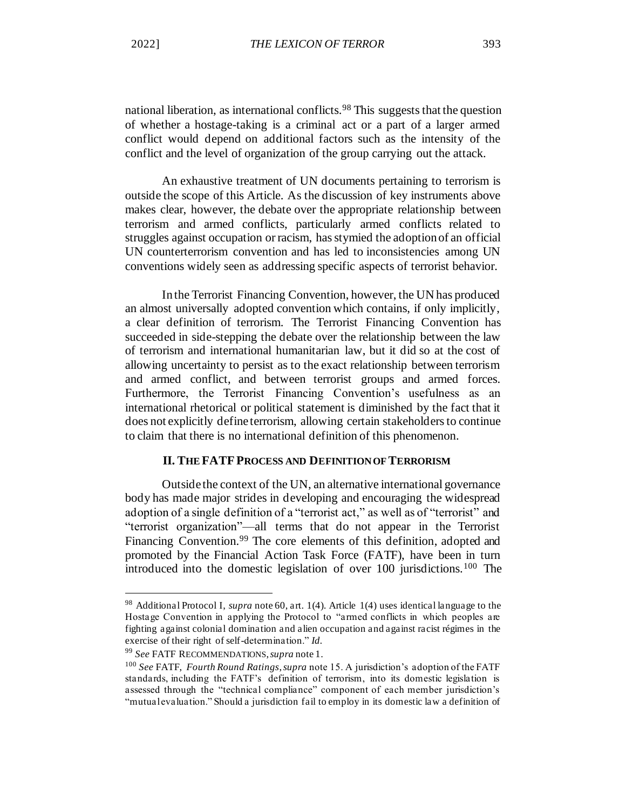national liberation, as international conflicts.<sup>98</sup> This suggests that the question of whether a hostage-taking is a criminal act or a part of a larger armed conflict would depend on additional factors such as the intensity of the conflict and the level of organization of the group carrying out the attack.

An exhaustive treatment of UN documents pertaining to terrorism is outside the scope of this Article. As the discussion of key instruments above makes clear, however, the debate over the appropriate relationship between terrorism and armed conflicts, particularly armed conflicts related to struggles against occupation or racism, has stymied the adoption of an official UN counterterrorism convention and has led to inconsistencies among UN conventions widely seen as addressing specific aspects of terrorist behavior.

In the Terrorist Financing Convention, however, the UN has produced an almost universally adopted convention which contains, if only implicitly, a clear definition of terrorism. The Terrorist Financing Convention has succeeded in side-stepping the debate over the relationship between the law of terrorism and international humanitarian law, but it did so at the cost of allowing uncertainty to persist as to the exact relationship between terrorism and armed conflict, and between terrorist groups and armed forces. Furthermore, the Terrorist Financing Convention's usefulness as an international rhetorical or political statement is diminished by the fact that it does not explicitly define terrorism, allowing certain stakeholders to continue to claim that there is no international definition of this phenomenon.

### **II. THE FATFPROCESS AND DEFINITION OF TERRORISM**

Outside the context of the UN, an alternative international governance body has made major strides in developing and encouraging the widespread adoption of a single definition of a "terrorist act," as well as of "terrorist" and "terrorist organization"—all terms that do not appear in the Terrorist Financing Convention.<sup>99</sup> The core elements of this definition, adopted and promoted by the Financial Action Task Force (FATF), have been in turn introduced into the domestic legislation of over  $100$  jurisdictions.<sup>100</sup> The

<sup>99</sup> *See* FATF RECOMMENDATIONS, *supra* note 1.

<sup>98</sup> Additional Protocol I, *supra* note 60, art. 1(4). Article 1(4) uses identical language to the Hostage Convention in applying the Protocol to "armed conflicts in which peoples are fighting against colonial domination and alien occupation and against racist régimes in the exercise of their right of self-determination." *Id.*

<sup>100</sup> *See* FATF, *Fourth Round Ratings*, *supra* note 15. A jurisdiction's adoption of the FATF standards, including the FATF's definition of terrorism, into its domestic legislation is assessed through the "technical compliance" component of each member jurisdiction's "mutual evaluation." Should a jurisdiction fail to employ in its domestic law a definition of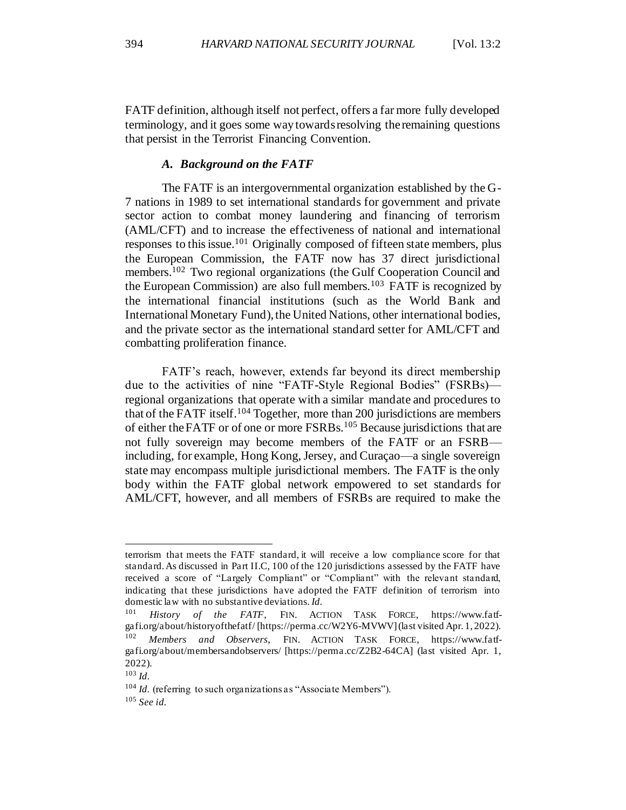FATF definition, although itself not perfect, offers a far more fully developed terminology, and it goes some way towards resolving the remaining questions that persist in the Terrorist Financing Convention.

#### *A. Background on the FATF*

The FATF is an intergovernmental organization established by the G-7 nations in 1989 to set international standards for government and private sector action to combat money laundering and financing of terrorism (AML/CFT) and to increase the effectiveness of national and international responses to this issue.<sup>101</sup> Originally composed of fifteen state members, plus the European Commission, the FATF now has 37 direct jurisdictional members.<sup>102</sup> Two regional organizations (the Gulf Cooperation Council and the European Commission) are also full members.<sup>103</sup> FATF is recognized by the international financial institutions (such as the World Bank and International Monetary Fund), the United Nations, other international bodies, and the private sector as the international standard setter for AML/CFT and combatting proliferation finance.

FATF's reach, however, extends far beyond its direct membership due to the activities of nine "FATF-Style Regional Bodies" (FSRBs) regional organizations that operate with a similar mandate and procedures to that of the FATF itself.<sup>104</sup> Together, more than 200 jurisdictions are members of either the FATF or of one or more FSRBs.<sup>105</sup> Because jurisdictions that are not fully sovereign may become members of the FATF or an FSRB including, for example, Hong Kong, Jersey, and Curaçao—a single sovereign state may encompass multiple jurisdictional members. The FATF is the only body within the FATF global network empowered to set standards for AML/CFT, however, and all members of FSRBs are required to make the

terrorism that meets the FATF standard, it will receive a low compliance score for that standard. As discussed in Part II.C, 100 of the 120 jurisdictions assessed by the FATF have received a score of "Largely Compliant" or "Compliant" with the relevant standard, indicating that these jurisdictions have adopted the FATF definition of terrorism into domestic law with no substantive deviations. *Id.*

<sup>101</sup> *History of the FATF*, FIN. ACTION TASK FORCE, https://www.fatfgafi.org/about/historyofthefatf/ [https://perma.cc/W2Y6-MVWV] (last visited Apr. 1, 2022). <sup>102</sup> *Members and Observers*, FIN. ACTION TASK FORCE, https://www.fatfgafi.org/about/membersandobservers/ [https://perma.cc/Z2B2-64CA] (last visited Apr. 1, 2022).

<sup>103</sup> *Id.*

<sup>&</sup>lt;sup>104</sup> *Id.* (referring to such organizations as "Associate Members").

<sup>105</sup> *See id.*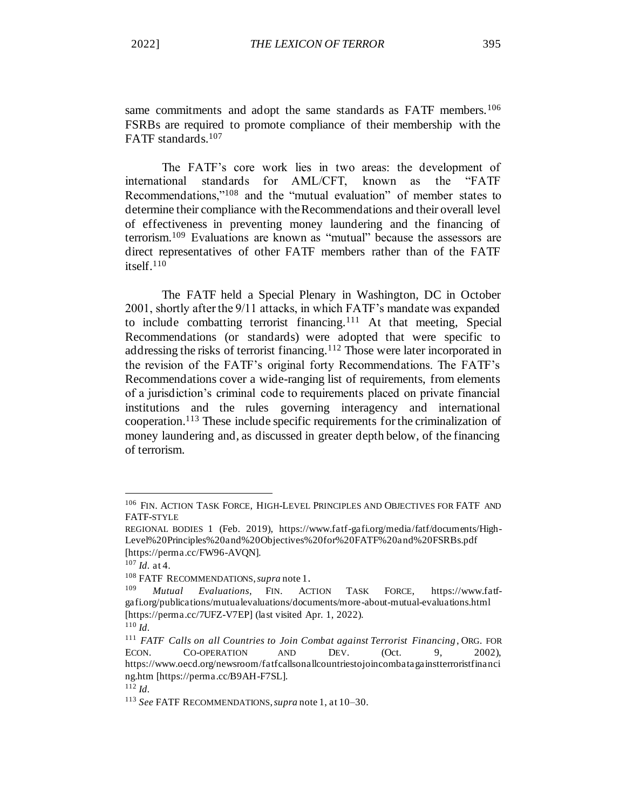same commitments and adopt the same standards as FATF members.<sup>106</sup> FSRBs are required to promote compliance of their membership with the FATF standards.<sup>107</sup>

The FATF's core work lies in two areas: the development of international standards for AML/CFT, known as the "FATF Recommendations,"<sup>108</sup> and the "mutual evaluation" of member states to determine their compliance with the Recommendations and their overall level of effectiveness in preventing money laundering and the financing of terrorism.<sup>109</sup> Evaluations are known as "mutual" because the assessors are direct representatives of other FATF members rather than of the FATF itself.<sup>110</sup>

The FATF held a Special Plenary in Washington, DC in October 2001, shortly after the 9/11 attacks, in which FATF's mandate was expanded to include combatting terrorist financing.<sup>111</sup> At that meeting, Special Recommendations (or standards) were adopted that were specific to addressing the risks of terrorist financing.<sup>112</sup> Those were later incorporated in the revision of the FATF's original forty Recommendations. The FATF's Recommendations cover a wide-ranging list of requirements, from elements of a jurisdiction's criminal code to requirements placed on private financial institutions and the rules governing interagency and international cooperation.<sup>113</sup> These include specific requirements for the criminalization of money laundering and, as discussed in greater depth below, of the financing of terrorism.

<sup>106</sup> FIN. ACTION TASK FORCE, HIGH-LEVEL PRINCIPLES AND OBJECTIVES FOR FATF AND FATF-STYLE

REGIONAL BODIES 1 (Feb. 2019), https://www.fatf-gafi.org/media/fatf/documents/High-Level%20Principles%20and%20Objectives%20for%20FATF%20and%20FSRBs.pdf [https://perma.cc/FW96-AVQN].

 $107$  *Id.* at 4.

<sup>&</sup>lt;sup>108</sup> FATF RECOMMENDATIONS, *supra* note 1.

<sup>109</sup> *Mutual Evaluations*, FIN. ACTION TASK FORCE, https://www.fatfgafi.org/publications/mutualevaluations/documents/more-about-mutual-evaluations.html [https://perma.cc/7UFZ-V7EP] (last visited Apr. 1, 2022).

<sup>110</sup> *Id.*

<sup>&</sup>lt;sup>111</sup> *FATF Calls on all Countries to Join Combat against Terrorist Financing*, ORG. FOR ECON. CO-OPERATION AND DEV. (Oct. 9. 2002). ECON. CO-OPERATION AND DEV. (Oct. 9, 2002), https://www.oecd.org/newsroom/fatfcallsonallcountriestojoincombatagainstterroristfinanci ng.htm [https://perma.cc/B9AH-F7SL].

<sup>112</sup> *Id.*

<sup>113</sup> *See* FATF RECOMMENDATIONS, *supra* note 1, at 10–30.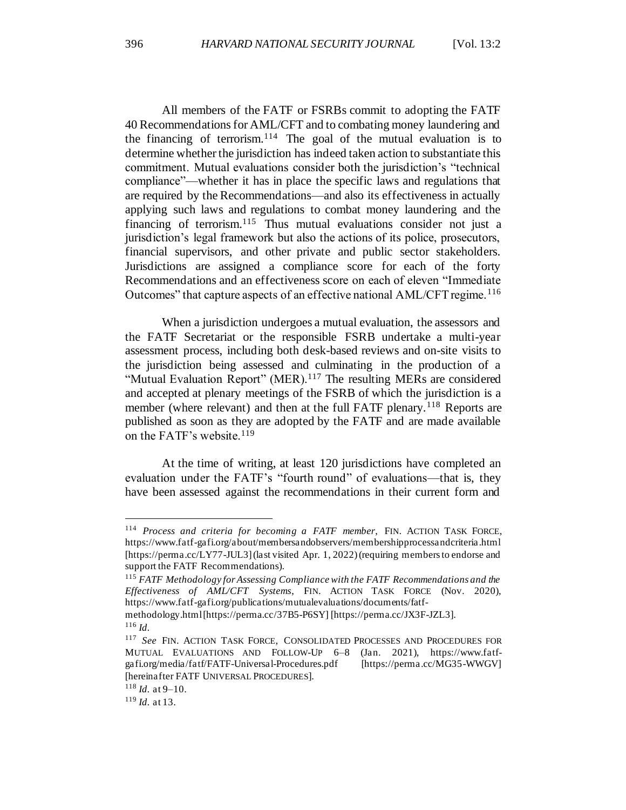All members of the FATF or FSRBs commit to adopting the FATF 40 Recommendations for AML/CFT and to combating money laundering and the financing of terrorism.<sup>114</sup> The goal of the mutual evaluation is to determine whether the jurisdiction has indeed taken action to substantiate this commitment. Mutual evaluations consider both the jurisdiction's "technical compliance"—whether it has in place the specific laws and regulations that are required by the Recommendations—and also its effectiveness in actually applying such laws and regulations to combat money laundering and the financing of terrorism. $115$  Thus mutual evaluations consider not just a jurisdiction's legal framework but also the actions of its police, prosecutors, financial supervisors, and other private and public sector stakeholders. Jurisdictions are assigned a compliance score for each of the forty Recommendations and an effectiveness score on each of eleven "Immediate Outcomes" that capture aspects of an effective national AML/CFT regime.<sup>116</sup>

When a jurisdiction undergoes a mutual evaluation, the assessors and the FATF Secretariat or the responsible FSRB undertake a multi-year assessment process, including both desk-based reviews and on-site visits to the jurisdiction being assessed and culminating in the production of a "Mutual Evaluation Report" (MER).<sup>117</sup> The resulting MERs are considered and accepted at plenary meetings of the FSRB of which the jurisdiction is a member (where relevant) and then at the full FATF plenary.<sup>118</sup> Reports are published as soon as they are adopted by the FATF and are made available on the FATF's website.<sup>119</sup>

At the time of writing, at least 120 jurisdictions have completed an evaluation under the FATF's "fourth round" of evaluations—that is, they have been assessed against the recommendations in their current form and

<sup>114</sup> *Process and criteria for becoming a FATF member*, FIN. ACTION TASK FORCE, https://www.fatf-gafi.org/about/membersandobservers/membershipprocessandcriteria.html [https://perma.cc/LY77-JUL3] (last visited Apr. 1, 2022) (requiring members to endorse and support the FATF Recommendations).

<sup>115</sup> *FATF Methodology for Assessing Compliance with the FATF Recommendations and the Effectiveness of AML/CFT Systems*, FIN. ACTION TASK FORCE (Nov. 2020), https://www.fatf-gafi.org/publications/mutualevaluations/documents/fatf-

methodology.html [https://perma.cc/37B5-P6SY] [https://perma.cc/JX3F-JZL3]. <sup>116</sup> *Id.*

<sup>117</sup> *See* FIN. ACTION TASK FORCE, CONSOLIDATED PROCESSES AND PROCEDURES FOR MUTUAL EVALUATIONS AND FOLLOW-UP 6–8 (Jan. 2021), https://www.fatfgafi.org/media/fatf/FATF-Universal-Procedures.pdf [https://perma.cc/MG35-WWGV] [hereinafter FATF UNIVERSAL PROCEDURES].

 $118$  *Id.* at 9–10.

<sup>119</sup> *Id.* at 13.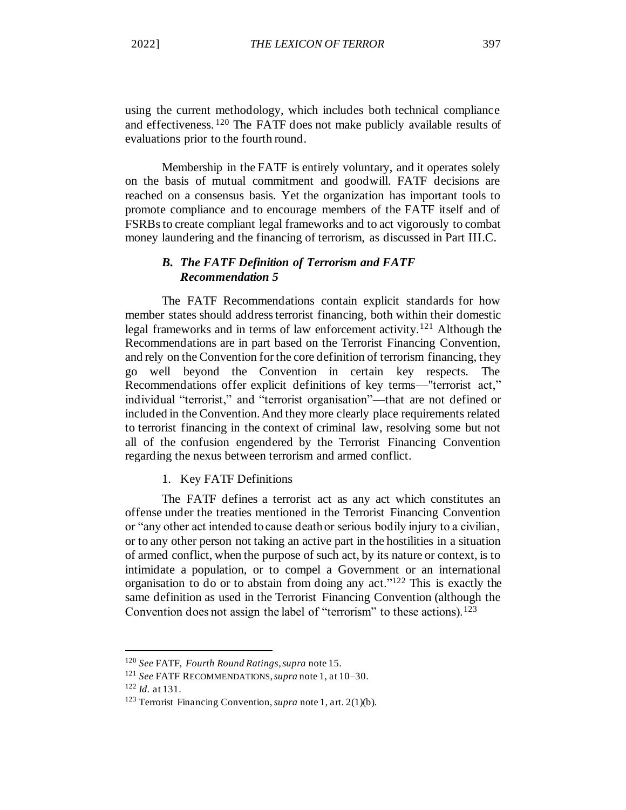using the current methodology, which includes both technical compliance and effectiveness. <sup>120</sup> The FATF does not make publicly available results of evaluations prior to the fourth round.

Membership in the FATF is entirely voluntary, and it operates solely on the basis of mutual commitment and goodwill. FATF decisions are reached on a consensus basis. Yet the organization has important tools to promote compliance and to encourage members of the FATF itself and of FSRBs to create compliant legal frameworks and to act vigorously to combat money laundering and the financing of terrorism, as discussed in Part III.C.

# *B. The FATF Definition of Terrorism and FATF Recommendation 5*

The FATF Recommendations contain explicit standards for how member states should address terrorist financing, both within their domestic legal frameworks and in terms of law enforcement activity.<sup>121</sup> Although the Recommendations are in part based on the Terrorist Financing Convention, and rely on the Convention for the core definition of terrorism financing, they go well beyond the Convention in certain key respects. The Recommendations offer explicit definitions of key terms—"terrorist act," individual "terrorist," and "terrorist organisation"—that are not defined or included in the Convention. And they more clearly place requirements related to terrorist financing in the context of criminal law, resolving some but not all of the confusion engendered by the Terrorist Financing Convention regarding the nexus between terrorism and armed conflict.

1. Key FATF Definitions

The FATF defines a terrorist act as any act which constitutes an offense under the treaties mentioned in the Terrorist Financing Convention or "any other act intended to cause death or serious bodily injury to a civilian, or to any other person not taking an active part in the hostilities in a situation of armed conflict, when the purpose of such act, by its nature or context, is to intimidate a population, or to compel a Government or an international organisation to do or to abstain from doing any act."<sup>122</sup> This is exactly the same definition as used in the Terrorist Financing Convention (although the Convention does not assign the label of "terrorism" to these actions).<sup>123</sup>

<sup>120</sup> *See* FATF, *Fourth Round Ratings*, *supra* note 15.

<sup>121</sup> *See* FATF RECOMMENDATIONS, *supra* note 1, at 10–30.

<sup>122</sup> *Id.* at 131.

<sup>123</sup> Terrorist Financing Convention, *supra* note 1, art. 2(1)(b).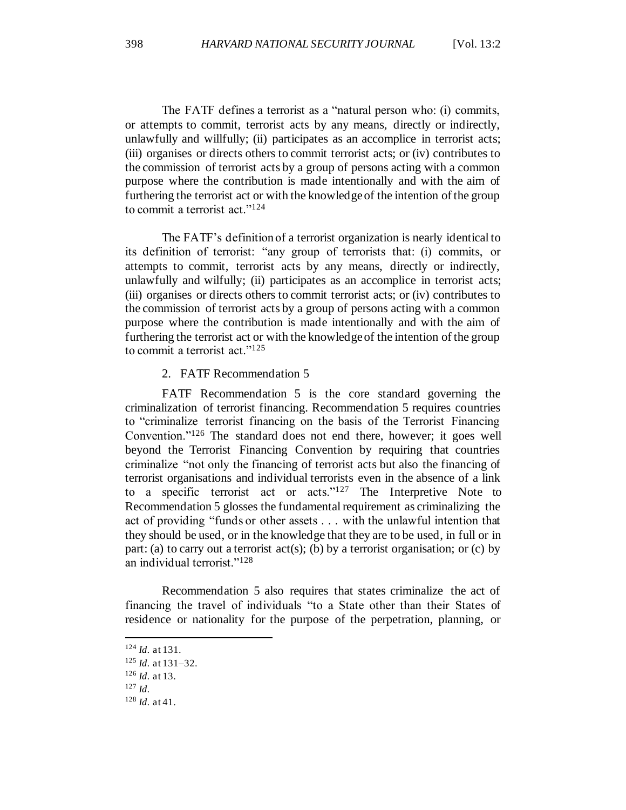The FATF defines a terrorist as a "natural person who: (i) commits, or attempts to commit, terrorist acts by any means, directly or indirectly, unlawfully and willfully; (ii) participates as an accomplice in terrorist acts; (iii) organises or directs others to commit terrorist acts; or (iv) contributes to the commission of terrorist acts by a group of persons acting with a common purpose where the contribution is made intentionally and with the aim of furthering the terrorist act or with the knowledge of the intention of the group to commit a terrorist act."<sup>124</sup>

The FATF's definition of a terrorist organization is nearly identical to its definition of terrorist: "any group of terrorists that: (i) commits, or attempts to commit, terrorist acts by any means, directly or indirectly, unlawfully and wilfully; (ii) participates as an accomplice in terrorist acts; (iii) organises or directs others to commit terrorist acts; or (iv) contributes to the commission of terrorist acts by a group of persons acting with a common purpose where the contribution is made intentionally and with the aim of furthering the terrorist act or with the knowledge of the intention of the group to commit a terrorist act." $125$ 

2. FATF Recommendation 5

FATF Recommendation 5 is the core standard governing the criminalization of terrorist financing. Recommendation 5 requires countries to "criminalize terrorist financing on the basis of the Terrorist Financing Convention."<sup>126</sup> The standard does not end there, however; it goes well beyond the Terrorist Financing Convention by requiring that countries criminalize "not only the financing of terrorist acts but also the financing of terrorist organisations and individual terrorists even in the absence of a link to a specific terrorist act or acts."<sup>127</sup> The Interpretive Note to Recommendation 5 glosses the fundamental requirement as criminalizing the act of providing "funds or other assets . . . with the unlawful intention that they should be used, or in the knowledge that they are to be used, in full or in part: (a) to carry out a terrorist  $act(s)$ ; (b) by a terrorist organisation; or (c) by an individual terrorist."<sup>128</sup>

Recommendation 5 also requires that states criminalize the act of financing the travel of individuals "to a State other than their States of residence or nationality for the purpose of the perpetration, planning, or

<sup>124</sup> *Id.* at 131.

<sup>125</sup> *Id.* at 131–32.

<sup>126</sup> *Id.* at 13.

<sup>127</sup> *Id.*

<sup>128</sup> *Id.* at 41.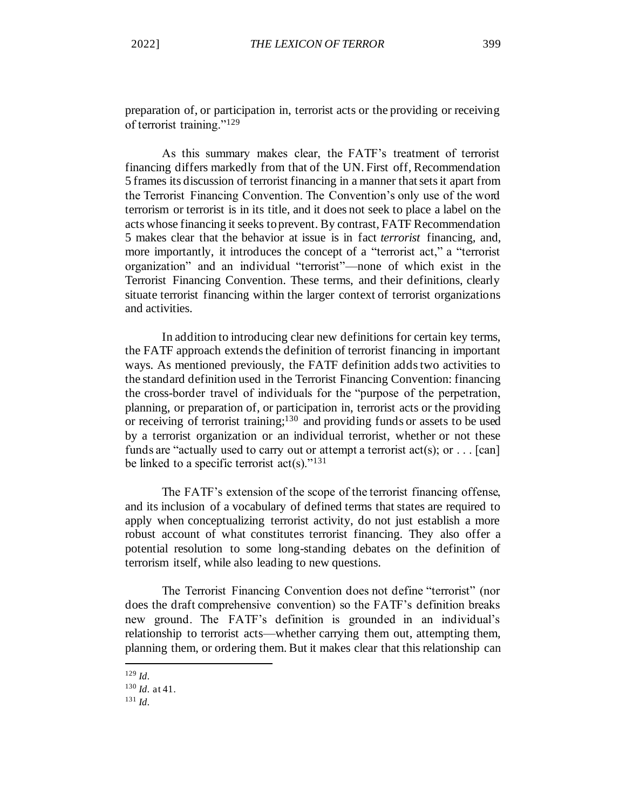preparation of, or participation in, terrorist acts or the providing or receiving of terrorist training."<sup>129</sup>

As this summary makes clear, the FATF's treatment of terrorist financing differs markedly from that of the UN. First off, Recommendation 5 frames its discussion of terrorist financing in a manner that sets it apart from the Terrorist Financing Convention. The Convention's only use of the word terrorism or terrorist is in its title, and it does not seek to place a label on the acts whose financing it seeks to prevent. By contrast, FATF Recommendation 5 makes clear that the behavior at issue is in fact *terrorist* financing, and, more importantly, it introduces the concept of a "terrorist act," a "terrorist organization" and an individual "terrorist"—none of which exist in the Terrorist Financing Convention. These terms, and their definitions, clearly situate terrorist financing within the larger context of terrorist organizations and activities.

In addition to introducing clear new definitions for certain key terms, the FATF approach extends the definition of terrorist financing in important ways. As mentioned previously, the FATF definition adds two activities to the standard definition used in the Terrorist Financing Convention: financing the cross-border travel of individuals for the "purpose of the perpetration, planning, or preparation of, or participation in, terrorist acts or the providing or receiving of terrorist training;<sup>130</sup> and providing funds or assets to be used by a terrorist organization or an individual terrorist, whether or not these funds are "actually used to carry out or attempt a terrorist  $act(s)$ ; or . . . [can] be linked to a specific terrorist  $act(s)$ ."<sup>131</sup>

The FATF's extension of the scope of the terrorist financing offense, and its inclusion of a vocabulary of defined terms that states are required to apply when conceptualizing terrorist activity, do not just establish a more robust account of what constitutes terrorist financing. They also offer a potential resolution to some long-standing debates on the definition of terrorism itself, while also leading to new questions.

The Terrorist Financing Convention does not define "terrorist" (nor does the draft comprehensive convention) so the FATF's definition breaks new ground. The FATF's definition is grounded in an individual's relationship to terrorist acts—whether carrying them out, attempting them, planning them, or ordering them. But it makes clear that this relationship can

<sup>129</sup> *Id.*

<sup>130</sup> *Id.* at 41.

<sup>131</sup> *Id.*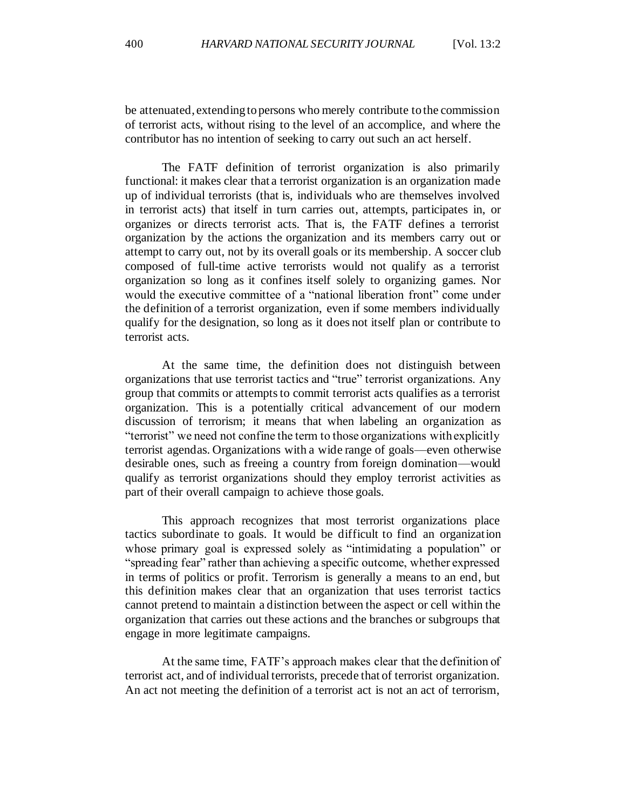be attenuated, extending to persons who merely contribute to the commission of terrorist acts, without rising to the level of an accomplice, and where the contributor has no intention of seeking to carry out such an act herself.

The FATF definition of terrorist organization is also primarily functional: it makes clear that a terrorist organization is an organization made up of individual terrorists (that is, individuals who are themselves involved in terrorist acts) that itself in turn carries out, attempts, participates in, or organizes or directs terrorist acts. That is, the FATF defines a terrorist organization by the actions the organization and its members carry out or attempt to carry out, not by its overall goals or its membership. A soccer club composed of full-time active terrorists would not qualify as a terrorist organization so long as it confines itself solely to organizing games. Nor would the executive committee of a "national liberation front" come under the definition of a terrorist organization, even if some members individually qualify for the designation, so long as it does not itself plan or contribute to terrorist acts.

At the same time, the definition does not distinguish between organizations that use terrorist tactics and "true" terrorist organizations. Any group that commits or attempts to commit terrorist acts qualifies as a terrorist organization. This is a potentially critical advancement of our modern discussion of terrorism; it means that when labeling an organization as "terrorist" we need not confine the term to those organizations with explicitly terrorist agendas. Organizations with a wide range of goals—even otherwise desirable ones, such as freeing a country from foreign domination—would qualify as terrorist organizations should they employ terrorist activities as part of their overall campaign to achieve those goals.

This approach recognizes that most terrorist organizations place tactics subordinate to goals. It would be difficult to find an organization whose primary goal is expressed solely as "intimidating a population" or "spreading fear" rather than achieving a specific outcome, whether expressed in terms of politics or profit. Terrorism is generally a means to an end, but this definition makes clear that an organization that uses terrorist tactics cannot pretend to maintain a distinction between the aspect or cell within the organization that carries out these actions and the branches or subgroups that engage in more legitimate campaigns.

At the same time, FATF's approach makes clear that the definition of terrorist act, and of individual terrorists, precede that of terrorist organization. An act not meeting the definition of a terrorist act is not an act of terrorism,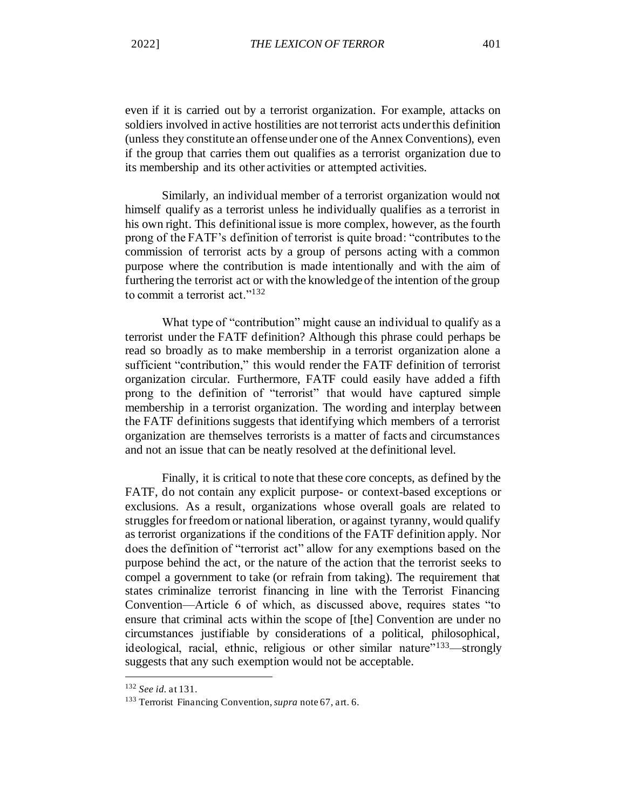even if it is carried out by a terrorist organization. For example, attacks on soldiers involved in active hostilities are not terrorist acts under this definition (unless they constitute an offense under one of the Annex Conventions), even if the group that carries them out qualifies as a terrorist organization due to its membership and its other activities or attempted activities.

Similarly, an individual member of a terrorist organization would not himself qualify as a terrorist unless he individually qualifies as a terrorist in his own right. This definitional issue is more complex, however, as the fourth prong of the FATF's definition of terrorist is quite broad: "contributes to the commission of terrorist acts by a group of persons acting with a common purpose where the contribution is made intentionally and with the aim of furthering the terrorist act or with the knowledge of the intention of the group to commit a terrorist act."<sup>132</sup>

What type of "contribution" might cause an individual to qualify as a terrorist under the FATF definition? Although this phrase could perhaps be read so broadly as to make membership in a terrorist organization alone a sufficient "contribution," this would render the FATF definition of terrorist organization circular. Furthermore, FATF could easily have added a fifth prong to the definition of "terrorist" that would have captured simple membership in a terrorist organization. The wording and interplay between the FATF definitions suggests that identifying which members of a terrorist organization are themselves terrorists is a matter of facts and circumstances and not an issue that can be neatly resolved at the definitional level.

Finally, it is critical to note that these core concepts, as defined by the FATF, do not contain any explicit purpose- or context-based exceptions or exclusions. As a result, organizations whose overall goals are related to struggles for freedom or national liberation, or against tyranny, would qualify as terrorist organizations if the conditions of the FATF definition apply. Nor does the definition of "terrorist act" allow for any exemptions based on the purpose behind the act, or the nature of the action that the terrorist seeks to compel a government to take (or refrain from taking). The requirement that states criminalize terrorist financing in line with the Terrorist Financing Convention—Article 6 of which, as discussed above, requires states "to ensure that criminal acts within the scope of [the] Convention are under no circumstances justifiable by considerations of a political, philosophical, ideological, racial, ethnic, religious or other similar nature<sup>"133</sup>—strongly suggests that any such exemption would not be acceptable.

<sup>132</sup> *See id.* at 131.

<sup>133</sup> Terrorist Financing Convention, *supra* note 67, art. 6.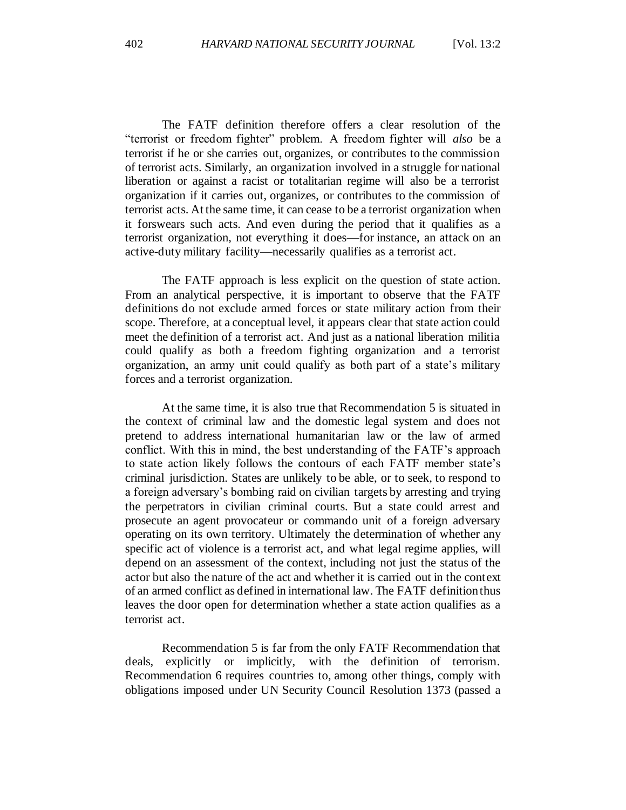The FATF definition therefore offers a clear resolution of the "terrorist or freedom fighter" problem. A freedom fighter will *also* be a terrorist if he or she carries out, organizes, or contributes to the commission of terrorist acts. Similarly, an organization involved in a struggle for national liberation or against a racist or totalitarian regime will also be a terrorist organization if it carries out, organizes, or contributes to the commission of terrorist acts. At the same time, it can cease to be a terrorist organization when it forswears such acts. And even during the period that it qualifies as a terrorist organization, not everything it does—for instance, an attack on an active-duty military facility—necessarily qualifies as a terrorist act.

The FATF approach is less explicit on the question of state action. From an analytical perspective, it is important to observe that the FATF definitions do not exclude armed forces or state military action from their scope. Therefore, at a conceptual level, it appears clear that state action could meet the definition of a terrorist act. And just as a national liberation militia could qualify as both a freedom fighting organization and a terrorist organization, an army unit could qualify as both part of a state's military forces and a terrorist organization.

At the same time, it is also true that Recommendation 5 is situated in the context of criminal law and the domestic legal system and does not pretend to address international humanitarian law or the law of armed conflict. With this in mind, the best understanding of the FATF's approach to state action likely follows the contours of each FATF member state's criminal jurisdiction. States are unlikely to be able, or to seek, to respond to a foreign adversary's bombing raid on civilian targets by arresting and trying the perpetrators in civilian criminal courts. But a state could arrest and prosecute an agent provocateur or commando unit of a foreign adversary operating on its own territory. Ultimately the determination of whether any specific act of violence is a terrorist act, and what legal regime applies, will depend on an assessment of the context, including not just the status of the actor but also the nature of the act and whether it is carried out in the context of an armed conflict as defined in international law. The FATF definition thus leaves the door open for determination whether a state action qualifies as a terrorist act.

Recommendation 5 is far from the only FATF Recommendation that deals, explicitly or implicitly, with the definition of terrorism. Recommendation 6 requires countries to, among other things, comply with obligations imposed under UN Security Council Resolution 1373 (passed a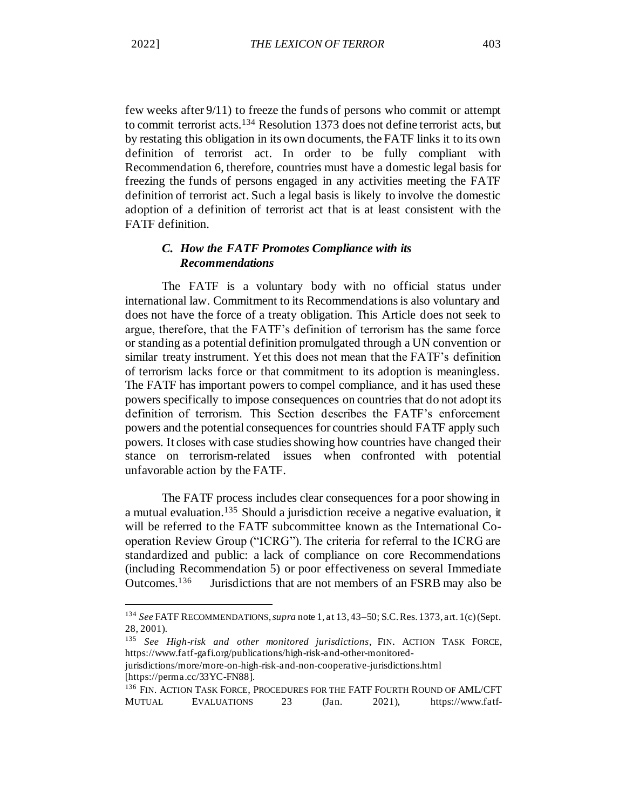few weeks after 9/11) to freeze the funds of persons who commit or attempt to commit terrorist acts.<sup>134</sup> Resolution 1373 does not define terrorist acts, but by restating this obligation in its own documents, the FATF links it to its own definition of terrorist act. In order to be fully compliant with Recommendation 6, therefore, countries must have a domestic legal basis for freezing the funds of persons engaged in any activities meeting the FATF definition of terrorist act. Such a legal basis is likely to involve the domestic adoption of a definition of terrorist act that is at least consistent with the FATF definition.

# *C. How the FATF Promotes Compliance with its Recommendations*

The FATF is a voluntary body with no official status under international law. Commitment to its Recommendations is also voluntary and does not have the force of a treaty obligation. This Article does not seek to argue, therefore, that the FATF's definition of terrorism has the same force or standing as a potential definition promulgated through a UN convention or similar treaty instrument. Yet this does not mean that the FATF's definition of terrorism lacks force or that commitment to its adoption is meaningless. The FATF has important powers to compel compliance, and it has used these powers specifically to impose consequences on countries that do not adopt its definition of terrorism. This Section describes the FATF's enforcement powers and the potential consequences for countries should FATF apply such powers. It closes with case studies showing how countries have changed their stance on terrorism-related issues when confronted with potential unfavorable action by the FATF.

<span id="page-34-0"></span>The FATF process includes clear consequences for a poor showing in a mutual evaluation.<sup>135</sup> Should a jurisdiction receive a negative evaluation, it will be referred to the FATF subcommittee known as the International Cooperation Review Group ("ICRG"). The criteria for referral to the ICRG are standardized and public: a lack of compliance on core Recommendations (including Recommendation 5) or poor effectiveness on several Immediate Outcomes.<sup>136</sup> Jurisdictions that are not members of an FSRB may also be

<sup>134</sup> *See* FATF RECOMMENDATIONS, *supra* note 1, at 13, 43–50; S.C. Res. 1373, art. 1(c) (Sept. 28, 2001).

<sup>135</sup> *See High-risk and other monitored jurisdictions*, FIN. ACTION TASK FORCE, https://www.fatf-gafi.org/publications/high-risk-and-other-monitored-

jurisdictions/more/more-on-high-risk-and-non-cooperative-jurisdictions.html [https://perma.cc/33YC-FN88].

<sup>&</sup>lt;sup>136</sup> FIN. ACTION TASK FORCE, PROCEDURES FOR THE FATF FOURTH ROUND OF AML/CFT MUTUAL EVALUATIONS 23 (Jan. 2021), https://www.fatf-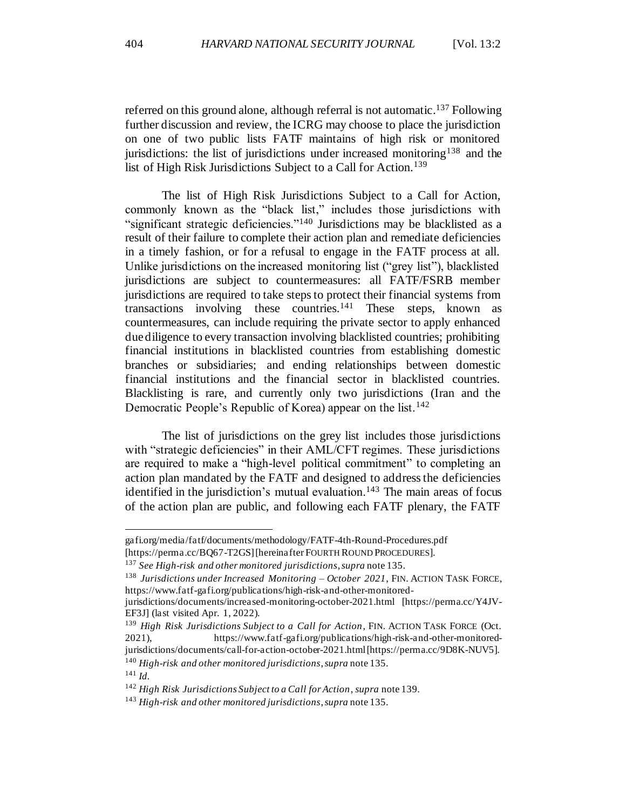referred on this ground alone, although referral is not automatic.<sup>137</sup> Following further discussion and review, the ICRG may choose to place the jurisdiction on one of two public lists FATF maintains of high risk or monitored jurisdictions: the list of jurisdictions under increased monitoring<sup>138</sup> and the list of High Risk Jurisdictions Subject to a Call for Action.<sup>139</sup>

The list of High Risk Jurisdictions Subject to a Call for Action, commonly known as the "black list," includes those jurisdictions with "significant strategic deficiencies."<sup>140</sup> Jurisdictions may be blacklisted as a result of their failure to complete their action plan and remediate deficiencies in a timely fashion, or for a refusal to engage in the FATF process at all. Unlike jurisdictions on the increased monitoring list ("grey list"), blacklisted jurisdictions are subject to countermeasures: all FATF/FSRB member jurisdictions are required to take steps to protect their financial systems from transactions involving these countries.<sup>141</sup> These steps, known as countermeasures, can include requiring the private sector to apply enhanced due diligence to every transaction involving blacklisted countries; prohibiting financial institutions in blacklisted countries from establishing domestic branches or subsidiaries; and ending relationships between domestic financial institutions and the financial sector in blacklisted countries. Blacklisting is rare, and currently only two jurisdictions (Iran and the Democratic People's Republic of Korea) appear on the list.<sup>142</sup>

The list of jurisdictions on the grey list includes those jurisdictions with "strategic deficiencies" in their AML/CFT regimes. These jurisdictions are required to make a "high-level political commitment" to completing an action plan mandated by the FATF and designed to address the deficiencies identified in the jurisdiction's mutual evaluation.<sup>143</sup> The main areas of focus of the action plan are public, and following each FATF plenary, the FATF

gafi.org/media/fatf/documents/methodology/FATF-4th-Round-Procedures.pdf [https://perma.cc/BQ67-T2GS] [hereinafter FOURTH ROUND PROCEDURES].

<sup>137</sup> *See High-risk and other monitored jurisdictions*, *supra* not[e 135.](#page-34-0)

<sup>138</sup> *Jurisdictions under Increased Monitoring – October 2021*, FIN. ACTION TASK FORCE, https://www.fatf-gafi.org/publications/high-risk-and-other-monitored-

jurisdictions/documents/increased-monitoring-october-2021.html [https://perma.cc/Y4JV-EF3J] (last visited Apr. 1, 2022).

<sup>139</sup> *High Risk Jurisdictions Subject to a Call for Action*, FIN. ACTION TASK FORCE (Oct. 2021), https://www.fatf-gafi.org/publications/high-risk-and-other-monitoredjurisdictions/documents/call-for-action-october-2021.html [https://perma.cc/9D8K-NUV5]. <sup>140</sup> *High-risk and other monitored jurisdictions*, *supra* note 135.

<sup>141</sup> *Id.*

<sup>142</sup> *High Risk Jurisdictions Subject to a Call for Action*, *supra* note 139.

<sup>143</sup> *High-risk and other monitored jurisdictions*, *supra* note 135.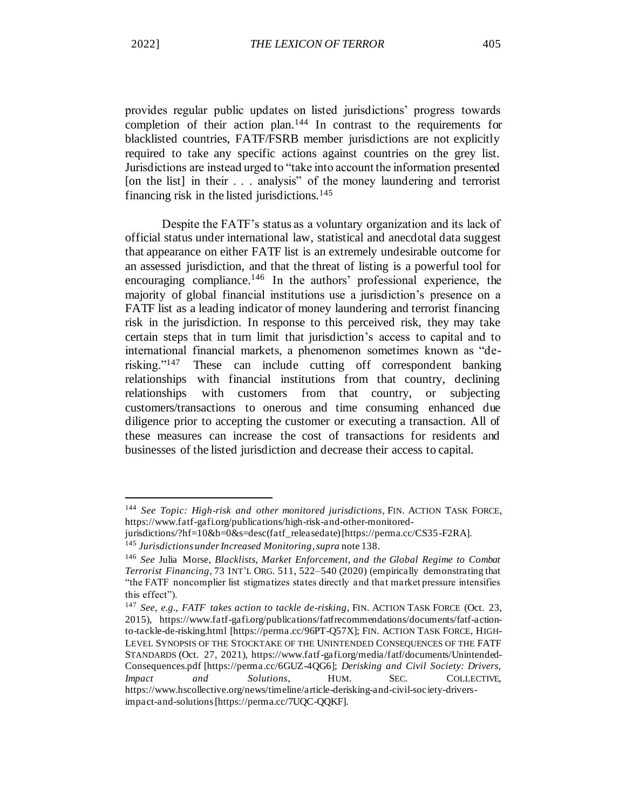provides regular public updates on listed jurisdictions' progress towards completion of their action plan.<sup>144</sup> In contrast to the requirements for blacklisted countries, FATF/FSRB member jurisdictions are not explicitly required to take any specific actions against countries on the grey list. Jurisdictions are instead urged to "take into account the information presented [on the list] in their . . . analysis" of the money laundering and terrorist financing risk in the listed jurisdictions. $145$ 

Despite the FATF's status as a voluntary organization and its lack of official status under international law, statistical and anecdotal data suggest that appearance on either FATF list is an extremely undesirable outcome for an assessed jurisdiction, and that the threat of listing is a powerful tool for encouraging compliance.<sup>146</sup> In the authors' professional experience, the majority of global financial institutions use a jurisdiction's presence on a FATF list as a leading indicator of money laundering and terrorist financing risk in the jurisdiction. In response to this perceived risk, they may take certain steps that in turn limit that jurisdiction's access to capital and to international financial markets, a phenomenon sometimes known as "derisking."<sup>147</sup> These can include cutting off correspondent banking relationships with financial institutions from that country, declining relationships with customers from that country, or subjecting customers/transactions to onerous and time consuming enhanced due diligence prior to accepting the customer or executing a transaction. All of these measures can increase the cost of transactions for residents and businesses of the listed jurisdiction and decrease their access to capital.

<sup>144</sup> *See Topic: High-risk and other monitored jurisdictions*, FIN. ACTION TASK FORCE, https://www.fatf-gafi.org/publications/high-risk-and-other-monitored-

jurisdictions/?hf=10&b=0&s=desc(fatf\_releasedate) [https://perma.cc/CS35-F2RA].

<sup>145</sup> *Jurisdictions under Increased Monitoring*, *supra* note 138.

<sup>146</sup> *See* Julia Morse, *Blacklists, Market Enforcement, and the Global Regime to Combat Terrorist Financing*, 73 INT'L ORG. 511, 522–540 (2020) (empirically demonstrating that "the FATF noncomplier list stigmatizes states directly and that market pressure intensifies this effect").

<sup>147</sup> *See, e.g.*, *FATF takes action to tackle de-risking*, FIN. ACTION TASK FORCE (Oct. 23, 2015), https://www.fatf-gafi.org/publications/fatfrecommendations/documents/fatf-actionto-tackle-de-risking.html [https://perma.cc/96PT-Q57X]; FIN. ACTION TASK FORCE, HIGH-LEVEL SYNOPSIS OF THE STOCKTAKE OF THE UNINTENDED CONSEQUENCES OF THE FATF STANDARDS (Oct. 27, 2021), https://www.fatf-gafi.org/media/fatf/documents/Unintended-Consequences.pdf [https://perma.cc/6GUZ-4QG6]; *Derisking and Civil Society: Drivers, Impact and Solutions*, HUM. SEC. COLLECTIVE, https://www.hscollective.org/news/timeline/article-derisking-and-civil-society-driversimpact-and-solutions [https://perma.cc/7UQC-QQKF].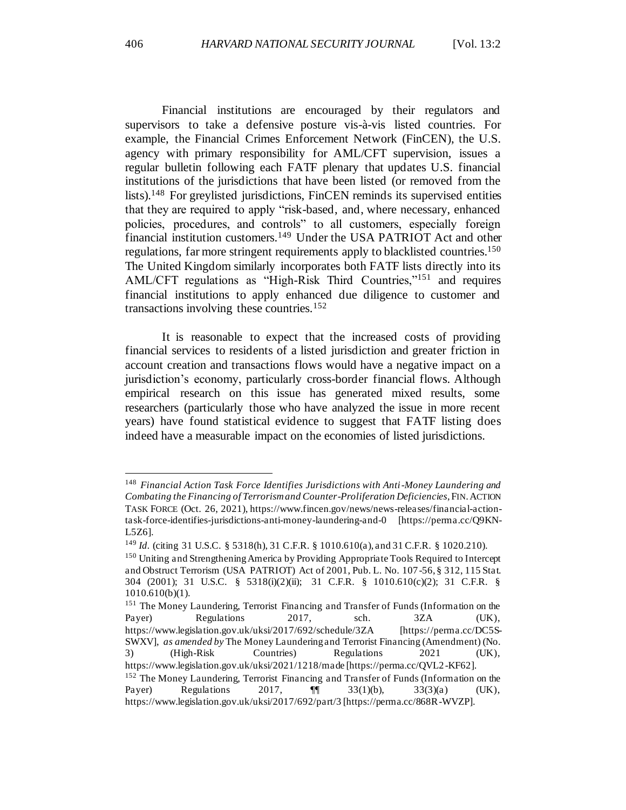Financial institutions are encouraged by their regulators and supervisors to take a defensive posture vis-à-vis listed countries. For example, the Financial Crimes Enforcement Network (FinCEN), the U.S. agency with primary responsibility for AML/CFT supervision, issues a regular bulletin following each FATF plenary that updates U.S. financial institutions of the jurisdictions that have been listed (or removed from the lists).<sup>148</sup> For greylisted jurisdictions, FinCEN reminds its supervised entities that they are required to apply "risk-based, and, where necessary, enhanced policies, procedures, and controls" to all customers, especially foreign financial institution customers.<sup>149</sup> Under the USA PATRIOT Act and other regulations, far more stringent requirements apply to blacklisted countries.<sup>150</sup> The United Kingdom similarly incorporates both FATF lists directly into its AML/CFT regulations as "High-Risk Third Countries,"<sup>151</sup> and requires financial institutions to apply enhanced due diligence to customer and transactions involving these countries.<sup>152</sup>

It is reasonable to expect that the increased costs of providing financial services to residents of a listed jurisdiction and greater friction in account creation and transactions flows would have a negative impact on a jurisdiction's economy, particularly cross-border financial flows. Although empirical research on this issue has generated mixed results, some researchers (particularly those who have analyzed the issue in more recent years) have found statistical evidence to suggest that FATF listing does indeed have a measurable impact on the economies of listed jurisdictions.

<sup>148</sup> *Financial Action Task Force Identifies Jurisdictions with Anti-Money Laundering and Combating the Financing of Terrorism and Counter-Proliferation Deficiencies*, FIN.ACTION TASK FORCE (Oct. 26, 2021), https://www.fincen.gov/news/news-releases/financial-actiontask-force-identifies-jurisdictions-anti-money-laundering-and-0 [https://perma.cc/Q9KN-L5Z6].

<sup>149</sup> *Id.* (citing 31 U.S.C. § 5318(h), 31 C.F.R. § 1010.610(a), and 31 C.F.R. § 1020.210). <sup>150</sup> Uniting and Strengthening America by Providing Appropriate Tools Required to Intercept and Obstruct Terrorism (USA PATRIOT) Act of 2001, Pub. L. No. 107-56, § 312, 115 Stat. 304 (2001); 31 U.S.C. § 5318(i)(2)(ii); 31 C.F.R. § 1010.610(c)(2); 31 C.F.R. § 1010.610(b)(1).

<sup>&</sup>lt;sup>151</sup> The Money Laundering, Terrorist Financing and Transfer of Funds (Information on the Payer) Regulations 2017, sch. 3ZA (UK), https://www.legislation.gov.uk/uksi/2017/692/schedule/3ZA [https://perma.cc/DC5S-SWXV], *as amended by* The Money Laundering and Terrorist Financing (Amendment) (No. 3) (High-Risk Countries) Regulations 2021 (UK), https://www.legislation.gov.uk/uksi/2021/1218/made [https://perma.cc/QVL2 -KF62]. <sup>152</sup> The Money Laundering, Terrorist Financing and Transfer of Funds (Information on the Payer) Regulations 2017, ¶¶ 33(1)(b), 33(3)(a) (UK), https://www.legislation.gov.uk/uksi/2017/692/part/3 [https://perma.cc/868R-WVZP].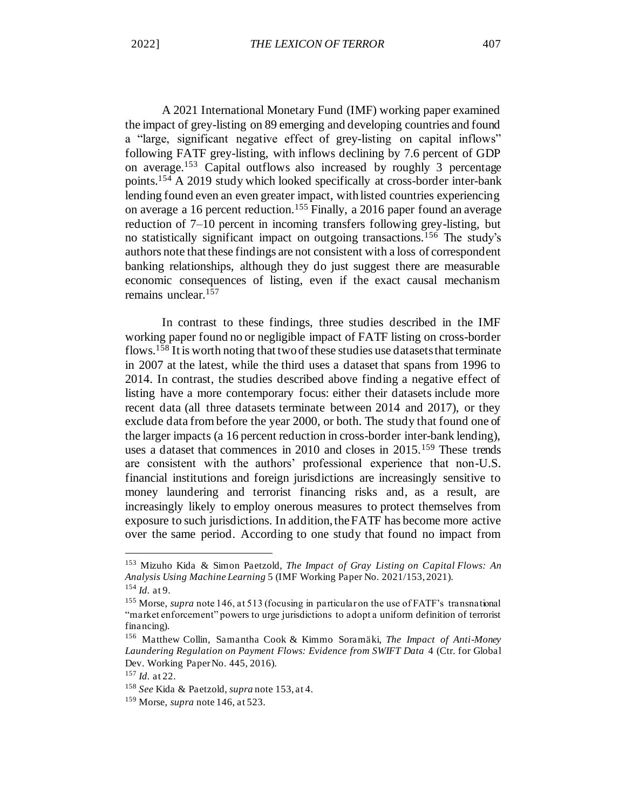A 2021 International Monetary Fund (IMF) working paper examined the impact of grey-listing on 89 emerging and developing countries and found a "large, significant negative effect of grey-listing on capital inflows" following FATF grey-listing, with inflows declining by 7.6 percent of GDP on average.<sup>153</sup> Capital outflows also increased by roughly 3 percentage points.<sup>154</sup> A 2019 study which looked specifically at cross-border inter-bank lending found even an even greater impact, with listed countries experiencing on average a 16 percent reduction.<sup>155</sup> Finally, a 2016 paper found an average reduction of 7–10 percent in incoming transfers following grey-listing, but no statistically significant impact on outgoing transactions.<sup>156</sup> The study's authors note that these findings are not consistent with a loss of correspondent banking relationships, although they do just suggest there are measurable economic consequences of listing, even if the exact causal mechanism remains unclear.<sup>157</sup>

In contrast to these findings, three studies described in the IMF working paper found no or negligible impact of FATF listing on cross-border flows.<sup>158</sup> It is worth noting that two of these studies use datasets that terminate in 2007 at the latest, while the third uses a dataset that spans from 1996 to 2014. In contrast, the studies described above finding a negative effect of listing have a more contemporary focus: either their datasets include more recent data (all three datasets terminate between 2014 and 2017), or they exclude data from before the year 2000, or both. The study that found one of the larger impacts (a 16 percent reduction in cross-border inter-bank lending), uses a dataset that commences in 2010 and closes in 2015.<sup>159</sup> These trends are consistent with the authors' professional experience that non-U.S. financial institutions and foreign jurisdictions are increasingly sensitive to money laundering and terrorist financing risks and, as a result, are increasingly likely to employ onerous measures to protect themselves from exposure to such jurisdictions. In addition, the FATF has become more active over the same period. According to one study that found no impact from

<sup>153</sup> Mizuho Kida & Simon Paetzold, *The Impact of Gray Listing on Capital Flows: An Analysis Using Machine Learning* 5 (IMF Working Paper No. 2021/153, 2021). <sup>154</sup> *Id.* at 9.

<sup>155</sup> Morse, *supra* note 146, at 513 (focusing in particular on the use of FATF's transnational "market enforcement" powers to urge jurisdictions to adopt a uniform definition of terrorist financing).

<sup>156</sup> Matthew Collin, Samantha Cook & Kimmo Soramäki, *The Impact of Anti-Money Laundering Regulation on Payment Flows: Evidence from SWIFT Data* 4 (Ctr. for Global Dev. Working Paper No. 445, 2016).

<sup>157</sup> *Id.* at 22.

<sup>158</sup> *See* Kida & Paetzold, *supra* note 153, at 4.

<sup>159</sup> Morse, *supra* note 146, at 523.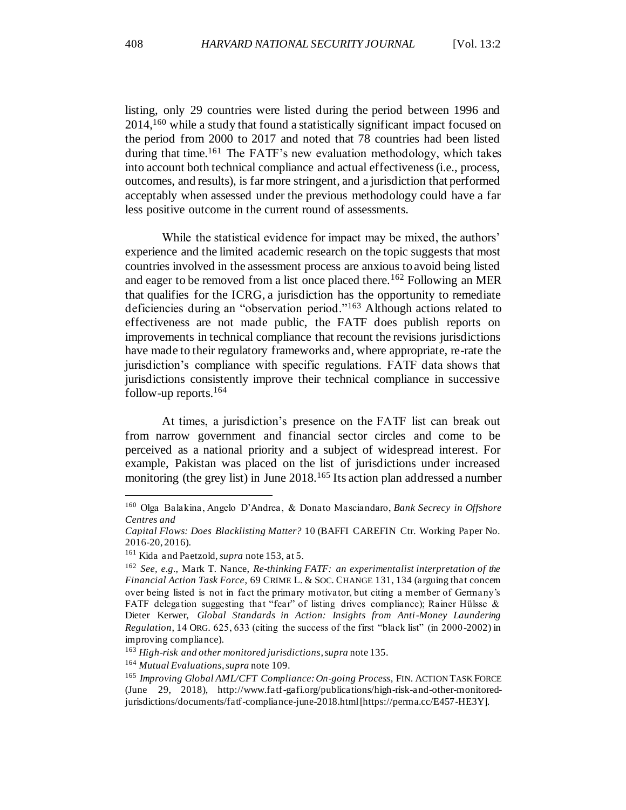listing, only 29 countries were listed during the period between 1996 and 2014,<sup>160</sup> while a study that found a statistically significant impact focused on the period from 2000 to 2017 and noted that 78 countries had been listed during that time.<sup>161</sup> The FATF's new evaluation methodology, which takes into account both technical compliance and actual effectiveness (i.e., process, outcomes, and results), is far more stringent, and a jurisdiction that performed acceptably when assessed under the previous methodology could have a far less positive outcome in the current round of assessments.

While the statistical evidence for impact may be mixed, the authors' experience and the limited academic research on the topic suggests that most countries involved in the assessment process are anxious to avoid being listed and eager to be removed from a list once placed there.<sup>162</sup> Following an MER that qualifies for the ICRG, a jurisdiction has the opportunity to remediate deficiencies during an "observation period."<sup>163</sup> Although actions related to effectiveness are not made public, the FATF does publish reports on improvements in technical compliance that recount the revisions jurisdictions have made to their regulatory frameworks and, where appropriate, re-rate the jurisdiction's compliance with specific regulations. FATF data shows that jurisdictions consistently improve their technical compliance in successive follow-up reports. $164$ 

At times, a jurisdiction's presence on the FATF list can break out from narrow government and financial sector circles and come to be perceived as a national priority and a subject of widespread interest. For example, Pakistan was placed on the list of jurisdictions under increased monitoring (the grey list) in June 2018.<sup>165</sup> Its action plan addressed a number

<sup>160</sup> Olga Balakina, Angelo D'Andrea, & Donato Masciandaro, *Bank Secrecy in Offshore Centres and*

*Capital Flows: Does Blacklisting Matter?* 10 (BAFFI CAREFIN Ctr. Working Paper No. 2016-20, 2016).

<sup>161</sup> Kida and Paetzold, *supra* note 153, at 5.

<sup>162</sup> *See, e.g.*, Mark T. Nance, *Re-thinking FATF: an experimentalist interpretation of the Financial Action Task Force*, 69 CRIME L. & SOC. CHANGE 131, 134 (arguing that concern over being listed is not in fact the primary motivator, but citing a member of Germany's FATF delegation suggesting that "fear" of listing drives compliance); Rainer Hülsse & Dieter Kerwer, *Global Standards in Action: Insights from Anti-Money Laundering Regulation*, 14 ORG. 625, 633 (citing the success of the first "black list" (in 2000-2002) in improving compliance).

<sup>163</sup> *High-risk and other monitored jurisdictions*, *supra* note 135.

<sup>164</sup> *Mutual Evaluations*, *supra* note 109.

<sup>165</sup> *Improving Global AML/CFT Compliance: On-going Process*, FIN. ACTION TASK FORCE (June 29, 2018), http://www.fatf-gafi.org/publications/high-risk-and-other-monitoredjurisdictions/documents/fatf-compliance-june-2018.html [https://perma.cc/E457-HE3Y].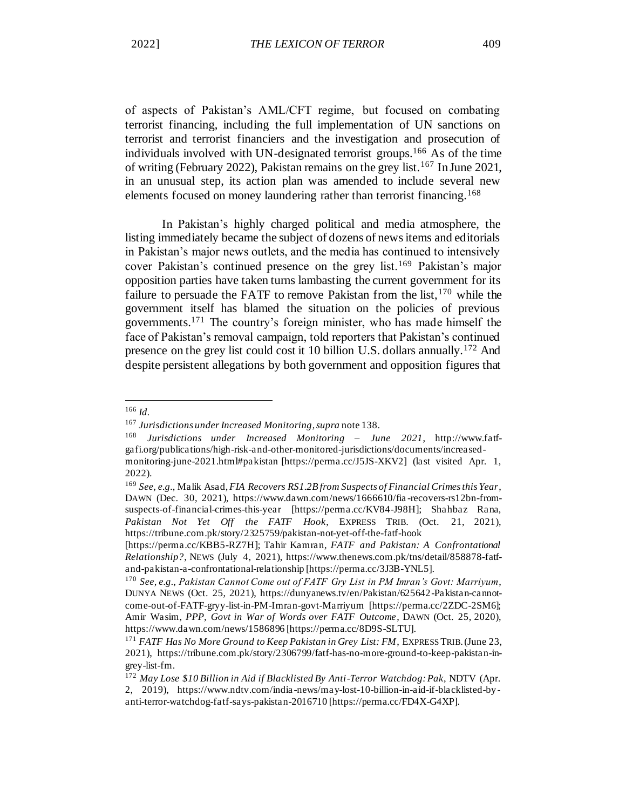of aspects of Pakistan's AML/CFT regime, but focused on combating terrorist financing, including the full implementation of UN sanctions on terrorist and terrorist financiers and the investigation and prosecution of individuals involved with UN-designated terrorist groups.<sup>166</sup> As of the time of writing (February 2022), Pakistan remains on the grey list.<sup>167</sup> In June 2021, in an unusual step, its action plan was amended to include several new elements focused on money laundering rather than terrorist financing.<sup>168</sup>

In Pakistan's highly charged political and media atmosphere, the listing immediately became the subject of dozens of news items and editorials in Pakistan's major news outlets, and the media has continued to intensively cover Pakistan's continued presence on the grey list.<sup>169</sup> Pakistan's major opposition parties have taken turns lambasting the current government for its failure to persuade the FATF to remove Pakistan from the list, <sup>170</sup> while the government itself has blamed the situation on the policies of previous governments.<sup>171</sup> The country's foreign minister, who has made himself the face of Pakistan's removal campaign, told reporters that Pakistan's continued presence on the grey list could cost it 10 billion U.S. dollars annually.<sup>172</sup> And despite persistent allegations by both government and opposition figures that

<sup>166</sup> *Id.*

<sup>167</sup> *Jurisdictions underIncreased Monitoring*,*supra* note 138.

<sup>168</sup> *Jurisdictions under Increased Monitoring – June 2021*, http://www.fatfgafi.org/publications/high-risk-and-other-monitored-jurisdictions/documents/increasedmonitoring-june-2021.html#pakistan [https://perma.cc/J5JS-XKV2] (last visited Apr. 1, 2022).

<sup>169</sup> *See, e.g.*, Malik Asad, *FIA Recovers RS1.2B from Suspects of Financial Crimes this Year*, DAWN (Dec. 30, 2021), https://www.dawn.com/news/1666610/fia -recovers-rs12bn-fromsuspects-of-financial-crimes-this-year [https://perma.cc/KV84-J98H]; Shahbaz Rana, *Pakistan Not Yet Off the FATF Hook*, EXPRESS TRIB. (Oct. 21, 2021), https://tribune.com.pk/story/2325759/pakistan-not-yet-off-the-fatf-hook

<sup>[</sup>https://perma.cc/KBB5-RZ7H]; Tahir Kamran, *FATF and Pakistan: A Confrontational Relationship?*, NEWS (July 4, 2021), https://www.thenews.com.pk/tns/detail/858878-fatfand-pakistan-a-confrontational-relationship [https://perma.cc/3J3B-YNL5].

<sup>170</sup> *See, e.g.*, *Pakistan Cannot Come out of FATF Gry List in PM Imran's Govt: Marriyum*, DUNYA NEWS (Oct. 25, 2021), https://dunyanews.tv/en/Pakistan/625642-Pakistan-cannotcome-out-of-FATF-gryy-list-in-PM-Imran-govt-Marriyum [https://perma.cc/2ZDC-2SM6]; Amir Wasim, *PPP, Govt in War of Words over FATF Outcome*, DAWN (Oct. 25, 2020), https://www.dawn.com/news/1586896 [https://perma.cc/8D9S-SLTU].

<sup>171</sup> *FATF Has No More Ground to Keep Pakistan in Grey List: FM*, EXPRESS TRIB.(June 23, 2021), https://tribune.com.pk/story/2306799/fatf-has-no-more-ground-to-keep-pakistan-ingrey-list-fm.

<sup>172</sup> *May Lose \$10 Billion in Aid if Blacklisted By Anti-Terror Watchdog: Pak*, NDTV (Apr. 2, 2019), https://www.ndtv.com/india -news/may-lost-10-billion-in-aid-if-blacklisted-byanti-terror-watchdog-fatf-says-pakistan-2016710 [https://perma.cc/FD4X-G4XP].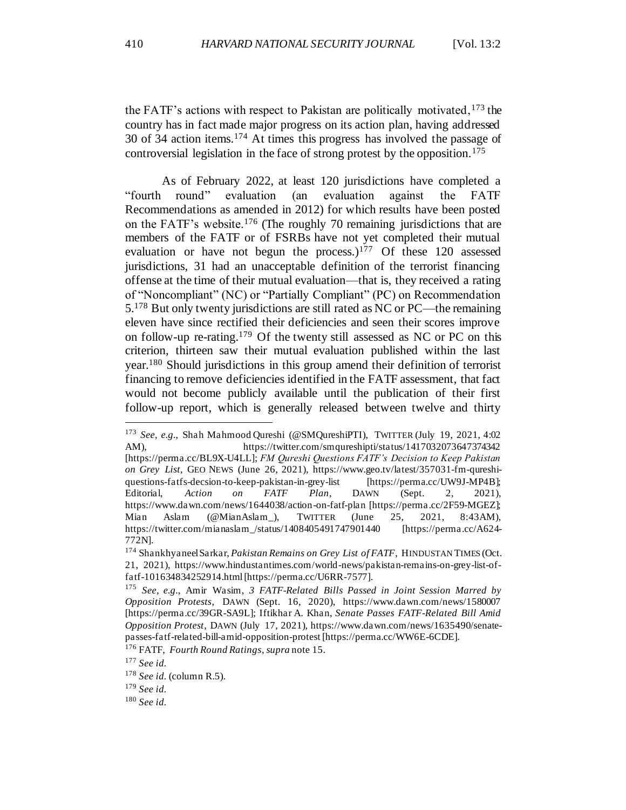the FATF's actions with respect to Pakistan are politically motivated,  $173$  the country has in fact made major progress on its action plan, having addressed 30 of 34 action items.<sup>174</sup> At times this progress has involved the passage of controversial legislation in the face of strong protest by the opposition.<sup>175</sup>

As of February 2022, at least 120 jurisdictions have completed a "fourth round" evaluation (an evaluation against the FATF Recommendations as amended in 2012) for which results have been posted on the FATF's website.<sup>176</sup> (The roughly 70 remaining jurisdictions that are members of the FATF or of FSRBs have not yet completed their mutual evaluation or have not begun the process.)<sup>177</sup> Of these 120 assessed jurisdictions, 31 had an unacceptable definition of the terrorist financing offense at the time of their mutual evaluation—that is, they received a rating of "Noncompliant" (NC) or "Partially Compliant" (PC) on Recommendation 5.<sup>178</sup> But only twenty jurisdictions are still rated as NC or PC—the remaining eleven have since rectified their deficiencies and seen their scores improve on follow-up re-rating.<sup>179</sup> Of the twenty still assessed as NC or PC on this criterion, thirteen saw their mutual evaluation published within the last year.<sup>180</sup> Should jurisdictions in this group amend their definition of terrorist financing to remove deficiencies identified in the FATF assessment, that fact would not become publicly available until the publication of their first follow-up report, which is generally released between twelve and thirty

<sup>176</sup> FATF, *Fourth Round Ratings*, *supra* note 15.

<sup>179</sup> *See id.*

<sup>&</sup>lt;sup>173</sup> See, e.g., Shah Mahmood Qureshi (@SMQureshiPTI), TWITTER (July 19, 2021, 4:02 AM), https://twitter.com/smqureshipti/status/1417032073647374342 [https://perma.cc/BL9X-U4LL]; *FM Qureshi Questions FATF's Decision to Keep Pakistan on Grey List*, GEO NEWS (June 26, 2021), https://www.geo.tv/latest/357031-fm-qureshiquestions-fatfs-decsion-to-keep-pakistan-in-grey-list [https://perma.cc/UW9J-MP4B]; Editorial, *Action on FATF Plan*, DAWN (Sept. 2, 2021), https://www.dawn.com/news/1644038/action-on-fatf-plan [https://perma.cc/2F59-MGEZ]; Mian Aslam (@MianAslam\_), TWITTER (June 25, 2021, 8:43AM), https://twitter.com/mianaslam\_/status/1408405491747901440 [https://perma.cc/A624- 772N].

<sup>174</sup> Shankhyaneel Sarkar, *Pakistan Remains on Grey List of FATF*, HINDUSTAN TIMES (Oct. 21, 2021), https://www.hindustantimes.com/world-news/pakistan-remains-on-grey-list-offatf-101634834252914.html[https://perma.cc/U6RR-7577].

<sup>175</sup> *See, e.g.*, Amir Wasim, *3 FATF-Related Bills Passed in Joint Session Marred by Opposition Protests*, DAWN (Sept. 16, 2020), https://www.dawn.com/news/1580007 [https://perma.cc/39GR-SA9L]; Iftikhar A. Khan, *Senate Passes FATF-Related Bill Amid Opposition Protest*, DAWN (July 17, 2021), https://www.dawn.com/news/1635490/senatepasses-fatf-related-bill-amid-opposition-protest [https://perma.cc/WW6E-6CDE].

<sup>177</sup> *See id.*

<sup>178</sup> *See id.* (column R.5).

<sup>180</sup> *See id.*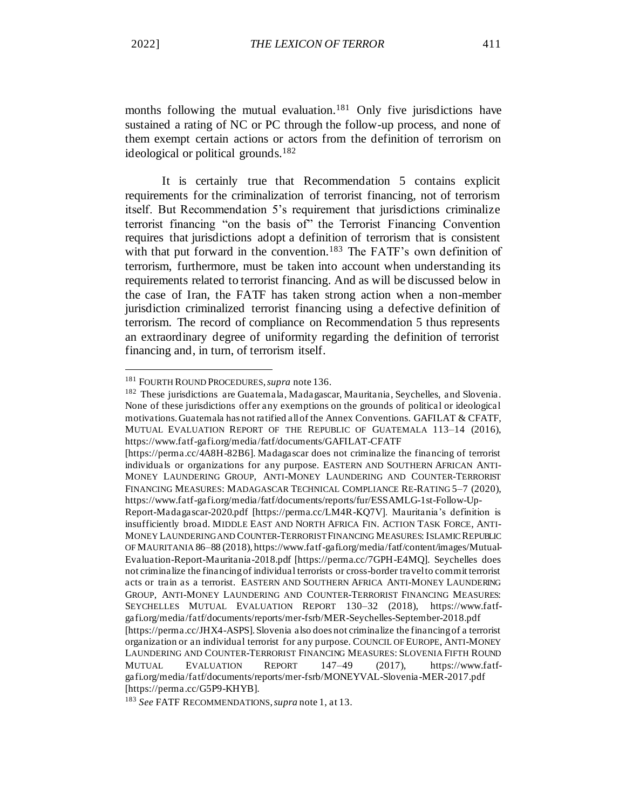months following the mutual evaluation.<sup>181</sup> Only five jurisdictions have sustained a rating of NC or PC through the follow-up process, and none of them exempt certain actions or actors from the definition of terrorism on ideological or political grounds.<sup>182</sup>

It is certainly true that Recommendation 5 contains explicit requirements for the criminalization of terrorist financing, not of terrorism itself. But Recommendation 5's requirement that jurisdictions criminalize terrorist financing "on the basis of" the Terrorist Financing Convention requires that jurisdictions adopt a definition of terrorism that is consistent with that put forward in the convention.<sup>183</sup> The FATF's own definition of terrorism, furthermore, must be taken into account when understanding its requirements related to terrorist financing. And as will be discussed below in the case of Iran, the FATF has taken strong action when a non-member jurisdiction criminalized terrorist financing using a defective definition of terrorism. The record of compliance on Recommendation 5 thus represents an extraordinary degree of uniformity regarding the definition of terrorist financing and, in turn, of terrorism itself.

<sup>181</sup> FOURTH ROUND PROCEDURES, *supra* note 136.

<sup>&</sup>lt;sup>182</sup> These jurisdictions are Guatemala, Madagascar, Mauritania, Seychelles, and Slovenia. None of these jurisdictions offer any exemptions on the grounds of political or ideological motivations. Guatemala has not ratified all of the Annex Conventions. GAFILAT & CFATF, MUTUAL EVALUATION REPORT OF THE REPUBLIC OF GUATEMALA 113–14 (2016), https://www.fatf-gafi.org/media/fatf/documents/GAFILAT-CFATF

<sup>[</sup>https://perma.cc/4A8H-82B6]. Madagascar does not criminalize the financing of terrorist individuals or organizations for any purpose. EASTERN AND SOUTHERN AFRICAN ANTI-MONEY LAUNDERING GROUP, ANTI-MONEY LAUNDERING AND COUNTER-TERRORIST FINANCING MEASURES: MADAGASCAR TECHNICAL COMPLIANCE RE-RATING 5–7 (2020), https://www.fatf-gafi.org/media/fatf/documents/reports/fur/ESSAMLG-1st-Follow-Up-

Report-Madagascar-2020.pdf [https://perma.cc/LM4R-KQ7V]. Mauritania's definition is insufficiently broad. MIDDLE EAST AND NORTH AFRICA FIN. ACTION TASK FORCE, ANTI-MONEY LAUNDERING AND COUNTER-TERRORIST FINANCING MEASURES: ISLAMIC REPUBLIC OF MAURITANIA 86–88 (2018), https://www.fatf-gafi.org/media/fatf/content/images/Mutual-Evaluation-Report-Mauritania-2018.pdf [https://perma.cc/7GPH-E4MQ]. Seychelles does not criminalize the financing of individual terrorists or cross-border travel to commit terrorist acts or train as a terrorist. EASTERN AND SOUTHERN AFRICA ANTI-MONEY LAUNDERING GROUP, ANTI-MONEY LAUNDERING AND COUNTER-TERRORIST FINANCING MEASURES: SEYCHELLES MUTUAL EVALUATION REPORT 130–32 (2018), https://www.fatfgafi.org/media/fatf/documents/reports/mer-fsrb/MER-Seychelles-September-2018.pdf [https://perma.cc/JHX4-ASPS]. Slovenia also does not criminalize the financing of a terrorist organization or an individual terrorist for any purpose. COUNCIL OF EUROPE, ANTI-MONEY LAUNDERING AND COUNTER-TERRORIST FINANCING MEASURES: SLOVENIA FIFTH ROUND MUTUAL EVALUATION REPORT 147–49 (2017), https://www.fatfgafi.org/media/fatf/documents/reports/mer-fsrb/MONEYVAL-Slovenia-MER-2017.pdf [https://perma.cc/G5P9-KHYB].

<sup>183</sup> *See* FATF RECOMMENDATIONS, *supra* note 1, at 13.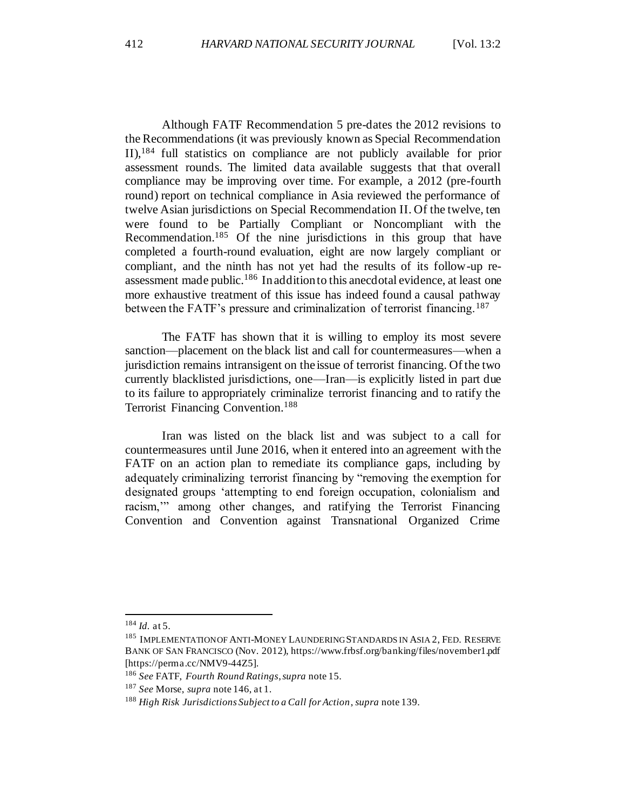Although FATF Recommendation 5 pre-dates the 2012 revisions to the Recommendations (it was previously known as Special Recommendation II),<sup>184</sup> full statistics on compliance are not publicly available for prior assessment rounds. The limited data available suggests that that overall compliance may be improving over time. For example, a 2012 (pre-fourth round) report on technical compliance in Asia reviewed the performance of twelve Asian jurisdictions on Special Recommendation II. Of the twelve, ten were found to be Partially Compliant or Noncompliant with the Recommendation.<sup>185</sup> Of the nine jurisdictions in this group that have completed a fourth-round evaluation, eight are now largely compliant or compliant, and the ninth has not yet had the results of its follow-up reassessment made public.<sup>186</sup> In addition to this anecdotal evidence, at least one more exhaustive treatment of this issue has indeed found a causal pathway between the FATF's pressure and criminalization of terrorist financing.<sup>187</sup>

The FATF has shown that it is willing to employ its most severe sanction—placement on the black list and call for countermeasures—when a jurisdiction remains intransigent on the issue of terrorist financing. Of the two currently blacklisted jurisdictions, one—Iran—is explicitly listed in part due to its failure to appropriately criminalize terrorist financing and to ratify the Terrorist Financing Convention.<sup>188</sup>

Iran was listed on the black list and was subject to a call for countermeasures until June 2016, when it entered into an agreement with the FATF on an action plan to remediate its compliance gaps, including by adequately criminalizing terrorist financing by "removing the exemption for designated groups 'attempting to end foreign occupation, colonialism and racism," among other changes, and ratifying the Terrorist Financing Convention and Convention against Transnational Organized Crime

<sup>184</sup> *Id.* at 5.

<sup>&</sup>lt;sup>185</sup> IMPLEMENTATION OF ANTI-MONEY LAUNDERING STANDARDS IN ASIA 2, FED. RESERVE BANK OF SAN FRANCISCO (Nov. 2012), https://www.frbsf.org/banking/files/november1.pdf [https://perma.cc/NMV9-44Z5].

<sup>186</sup> *See* FATF, *Fourth Round Ratings*, *supra* note 15.

<sup>187</sup> *See* Morse, *supra* note 146, at 1.

<sup>188</sup> *High Risk Jurisdictions Subject to a Call for Action*, *supra* note 139.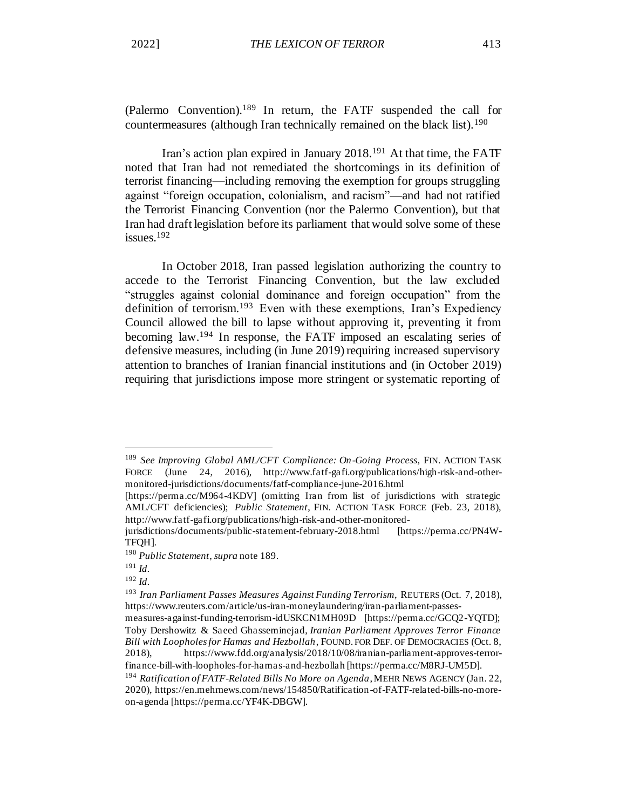(Palermo Convention).<sup>189</sup> In return, the FATF suspended the call for countermeasures (although Iran technically remained on the black list).<sup>190</sup>

Iran's action plan expired in January 2018.<sup>191</sup> At that time, the FATF noted that Iran had not remediated the shortcomings in its definition of terrorist financing—including removing the exemption for groups struggling against "foreign occupation, colonialism, and racism"—and had not ratified the Terrorist Financing Convention (nor the Palermo Convention), but that Iran had draft legislation before its parliament that would solve some of these issues.<sup>192</sup>

In October 2018, Iran passed legislation authorizing the country to accede to the Terrorist Financing Convention, but the law excluded "struggles against colonial dominance and foreign occupation" from the definition of terrorism.<sup>193</sup> Even with these exemptions, Iran's Expediency Council allowed the bill to lapse without approving it, preventing it from becoming law.<sup>194</sup> In response, the FATF imposed an escalating series of defensive measures, including (in June 2019) requiring increased supervisory attention to branches of Iranian financial institutions and (in October 2019) requiring that jurisdictions impose more stringent or systematic reporting of

<sup>189</sup> *See Improving Global AML/CFT Compliance: On-Going Process*, FIN. ACTION TASK FORCE (June 24, 2016), http://www.fatf-gafi.org/publications/high-risk-and-othermonitored-jurisdictions/documents/fatf-compliance-june-2016.html

<sup>[</sup>https://perma.cc/M964-4KDV] (omitting Iran from list of jurisdictions with strategic AML/CFT deficiencies); *Public Statement*, FIN. ACTION TASK FORCE (Feb. 23, 2018), http://www.fatf-gafi.org/publications/high-risk-and-other-monitored-

jurisdictions/documents/public-statement-february-2018.html [https://perma.cc/PN4W-TFQH].

<sup>190</sup> *Public Statement*, *supra* note 189.

<sup>191</sup> *Id.*

<sup>192</sup> *Id.*

<sup>193</sup> *Iran Parliament Passes Measures Against Funding Terrorism*, REUTERS (Oct. 7, 2018), https://www.reuters.com/article/us-iran-moneylaundering/iran-parliament-passes-

measures-against-funding-terrorism-idUSKCN1MH09D [https://perma.cc/GCQ2-YQTD]; Toby Dershowitz & Saeed Ghasseminejad, *Iranian Parliament Approves Terror Finance Bill with Loopholes for Hamas and Hezbollah*, FOUND. FOR DEF. OF DEMOCRACIES (Oct. 8, 2018), https://www.fdd.org/analysis/2018/10/08/iranian-parliament-approves-terrorfinance-bill-with-loopholes-for-hamas-and-hezbollah [https://perma.cc/M8RJ-UM5D].

<sup>194</sup> *Ratification of FATF-Related Bills No More on Agenda*, MEHR NEWS AGENCY (Jan. 22, 2020), https://en.mehrnews.com/news/154850/Ratification-of-FATF-related-bills-no-moreon-agenda [https://perma.cc/YF4K-DBGW].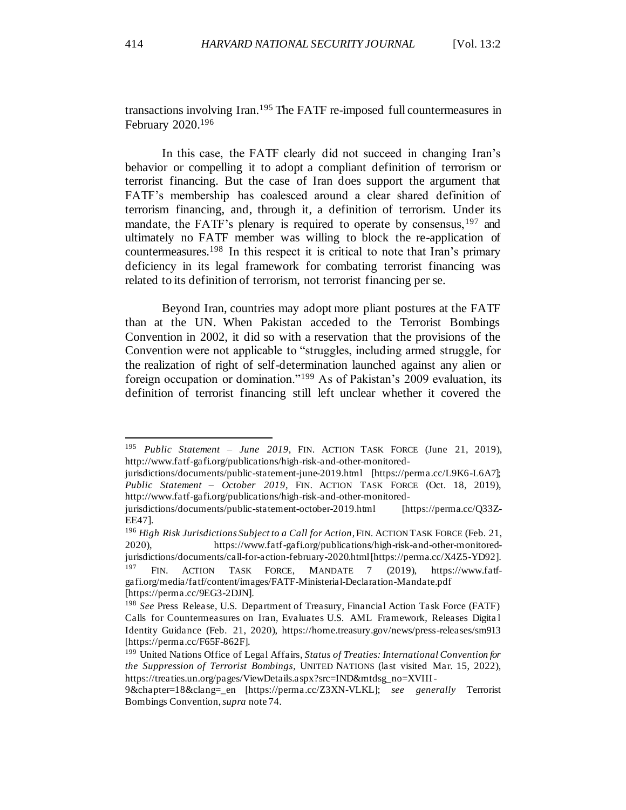transactions involving Iran.<sup>195</sup> The FATF re-imposed full countermeasures in February 2020.<sup>196</sup>

In this case, the FATF clearly did not succeed in changing Iran's behavior or compelling it to adopt a compliant definition of terrorism or terrorist financing. But the case of Iran does support the argument that FATF's membership has coalesced around a clear shared definition of terrorism financing, and, through it, a definition of terrorism. Under its mandate, the FATF's plenary is required to operate by consensus, <sup>197</sup> and ultimately no FATF member was willing to block the re-application of countermeasures.<sup>198</sup> In this respect it is critical to note that Iran's primary deficiency in its legal framework for combating terrorist financing was related to its definition of terrorism, not terrorist financing per se.

Beyond Iran, countries may adopt more pliant postures at the FATF than at the UN. When Pakistan acceded to the Terrorist Bombings Convention in 2002, it did so with a reservation that the provisions of the Convention were not applicable to "struggles, including armed struggle, for the realization of right of self-determination launched against any alien or foreign occupation or domination."<sup>199</sup> As of Pakistan's 2009 evaluation, its definition of terrorist financing still left unclear whether it covered the

<sup>196</sup> *High Risk Jurisdictions Subject to a Call for Action*, FIN. ACTION TASK FORCE (Feb. 21, 2020), https://www.fatf-gafi.org/publications/high-risk-and-other-monitoredjurisdictions/documents/call-for-action-february-2020.html [https://perma.cc/X4Z5-YD92]. <sup>197</sup> FIN. ACTION TASK FORCE, MANDATE 7 (2019), https://www.fatfgafi.org/media/fatf/content/images/FATF-Ministerial-Declaration-Mandate.pdf

[https://perma.cc/9EG3-2DJN].

<sup>195</sup> *Public Statement – June 2019*, FIN. ACTION TASK FORCE (June 21, 2019), http://www.fatf-gafi.org/publications/high-risk-and-other-monitored-

jurisdictions/documents/public-statement-june-2019.html [https://perma.cc/L9K6-L6A7]; *Public Statement – October 2019*, FIN. ACTION TASK FORCE (Oct. 18, 2019), http://www.fatf-gafi.org/publications/high-risk-and-other-monitored-

jurisdictions/documents/public-statement-october-2019.html [https://perma.cc/Q33Z-EE47].

<sup>198</sup> *See* Press Release, U.S. Department of Treasury, Financial Action Task Force (FATF) Calls for Countermeasures on Iran, Evaluates U.S. AML Framework, Releases Digita l Identity Guidance (Feb. 21, 2020), https://home.treasury.gov/news/press-releases/sm913 [https://perma.cc/F65F-862F].

<sup>199</sup> United Nations Office of Legal Affairs*, Status of Treaties: International Convention for the Suppression of Terrorist Bombings*, UNITED NATIONS (last visited Mar. 15, 2022), https://treaties.un.org/pages/ViewDetails.aspx?src=IND&mtdsg\_no=XVIII-

<sup>9&</sup>amp;chapter=18&clang=\_en [https://perma.cc/Z3XN-VLKL]; *see generally* Terrorist Bombings Convention, *supra* note 74.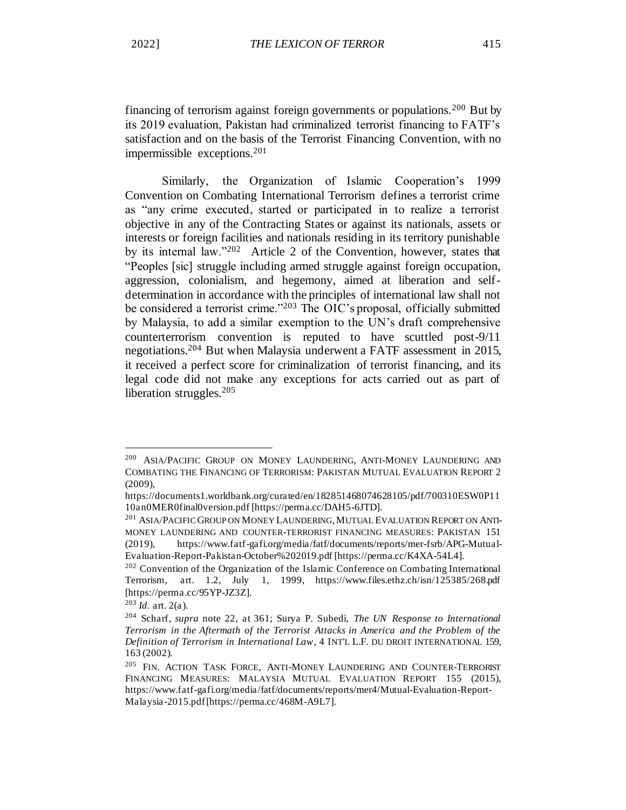financing of terrorism against foreign governments or populations.<sup>200</sup> But by its 2019 evaluation, Pakistan had criminalized terrorist financing to FATF's satisfaction and on the basis of the Terrorist Financing Convention, with no impermissible exceptions.<sup>201</sup>

Similarly, the Organization of Islamic Cooperation's 1999 Convention on Combating International Terrorism defines a terrorist crime as "any crime executed, started or participated in to realize a terrorist objective in any of the Contracting States or against its nationals, assets or interests or foreign facilities and nationals residing in its territory punishable by its internal law."<sup>202</sup> Article 2 of the Convention, however, states that "Peoples [sic] struggle including armed struggle against foreign occupation, aggression, colonialism, and hegemony, aimed at liberation and selfdetermination in accordance with the principles of international law shall not be considered a terrorist crime."<sup>203</sup> The OIC's proposal, officially submitted by Malaysia, to add a similar exemption to the UN's draft comprehensive counterterrorism convention is reputed to have scuttled post-9/11 negotiations.<sup>204</sup> But when Malaysia underwent a FATF assessment in 2015, it received a perfect score for criminalization of terrorist financing, and its legal code did not make any exceptions for acts carried out as part of liberation struggles.<sup>205</sup>

<sup>&</sup>lt;sup>200</sup> ASIA/PACIFIC GROUP ON MONEY LAUNDERING, ANTI-MONEY LAUNDERING AND COMBATING THE FINANCING OF TERRORISM: PAKISTAN MUTUAL EVALUATION REPORT 2 (2009),

https://documents1.worldbank.org/curated/en/182851468074628105/pdf/700310ESW0P11 10an0MER0final0version.pdf [https://perma.cc/DAH5-6JTD].

<sup>&</sup>lt;sup>201</sup> ASIA/PACIFIC GROUP ON MONEY LAUNDERING, MUTUAL EVALUATION REPORT ON ANTI-MONEY LAUNDERING AND COUNTER-TERRORIST FINANCING MEASURES: PAKISTAN 151 (2019), https://www.fatf-gafi.org/media/fatf/documents/reports/mer-fsrb/APG-Mutual-Evaluation-Report-Pakistan-October%202019.pdf [https://perma.cc/K4XA-54L4].

<sup>&</sup>lt;sup>202</sup> Convention of the Organization of the Islamic Conference on Combating International Terrorism, art. 1.2, July 1, 1999, https://www.files.ethz.ch/isn/125385/268.pdf [https://perma.cc/95YP-JZ3Z].

 $^{203}$  *Id.* art. 2(a).

<sup>204</sup> Scharf, *supra* note 22, at 361; Surya P. Subedi, *The UN Response to International Terrorism in the Aftermath of the Terrorist Attacks in America and the Problem of the Definition of Terrorism in International Law*, 4 INT'L L.F. DU DROIT INTERNATIONAL 159, 163 (2002).

<sup>&</sup>lt;sup>205</sup> FIN. ACTION TASK FORCE, ANTI-MONEY LAUNDERING AND COUNTER-TERRORIST FINANCING MEASURES: MALAYSIA MUTUAL EVALUATION REPORT 155 (2015), https://www.fatf-gafi.org/media/fatf/documents/reports/mer4/Mutual-Evaluation-Report-Malaysia-2015.pdf [https://perma.cc/468M-A9L7].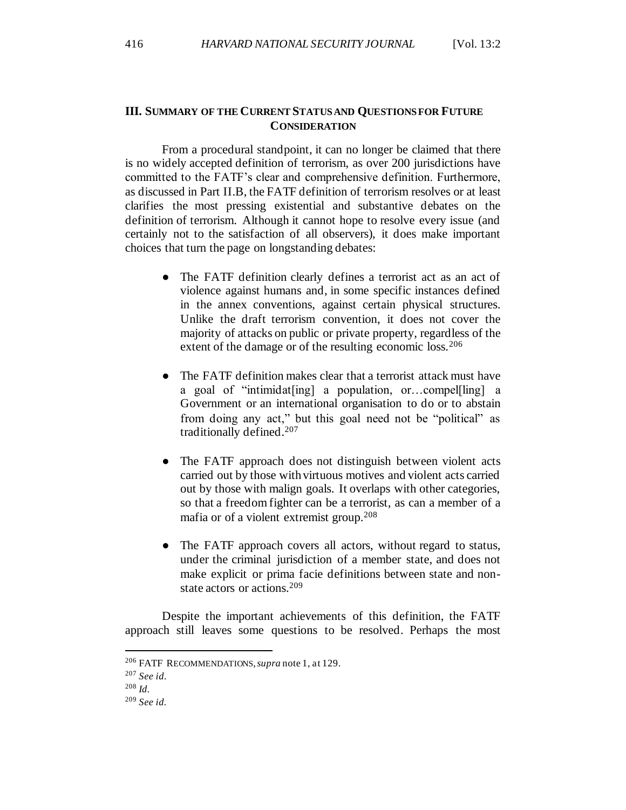### **III. SUMMARY OF THE CURRENT STATUS AND QUESTIONS FOR FUTURE CONSIDERATION**

From a procedural standpoint, it can no longer be claimed that there is no widely accepted definition of terrorism, as over 200 jurisdictions have committed to the FATF's clear and comprehensive definition. Furthermore, as discussed in Part II.B, the FATF definition of terrorism resolves or at least clarifies the most pressing existential and substantive debates on the definition of terrorism. Although it cannot hope to resolve every issue (and certainly not to the satisfaction of all observers), it does make important choices that turn the page on longstanding debates:

- The FATF definition clearly defines a terrorist act as an act of violence against humans and, in some specific instances defined in the annex conventions, against certain physical structures. Unlike the draft terrorism convention, it does not cover the majority of attacks on public or private property, regardless of the extent of the damage or of the resulting economic loss.<sup>206</sup>
- The FATF definition makes clear that a terrorist attack must have a goal of "intimidat[ing] a population, or…compel[ling] a Government or an international organisation to do or to abstain from doing any act," but this goal need not be "political" as traditionally defined.<sup>207</sup>
- The FATF approach does not distinguish between violent acts carried out by those with virtuous motives and violent acts carried out by those with malign goals. It overlaps with other categories, so that a freedom fighter can be a terrorist, as can a member of a mafia or of a violent extremist group.<sup>208</sup>
- The FATF approach covers all actors, without regard to status, under the criminal jurisdiction of a member state, and does not make explicit or prima facie definitions between state and nonstate actors or actions.<sup>209</sup>

Despite the important achievements of this definition, the FATF approach still leaves some questions to be resolved. Perhaps the most

<sup>206</sup> FATF RECOMMENDATIONS, *supra* note 1, at 129.

<sup>207</sup> *See id.*

<sup>208</sup> *Id.*

<sup>209</sup> *See id.*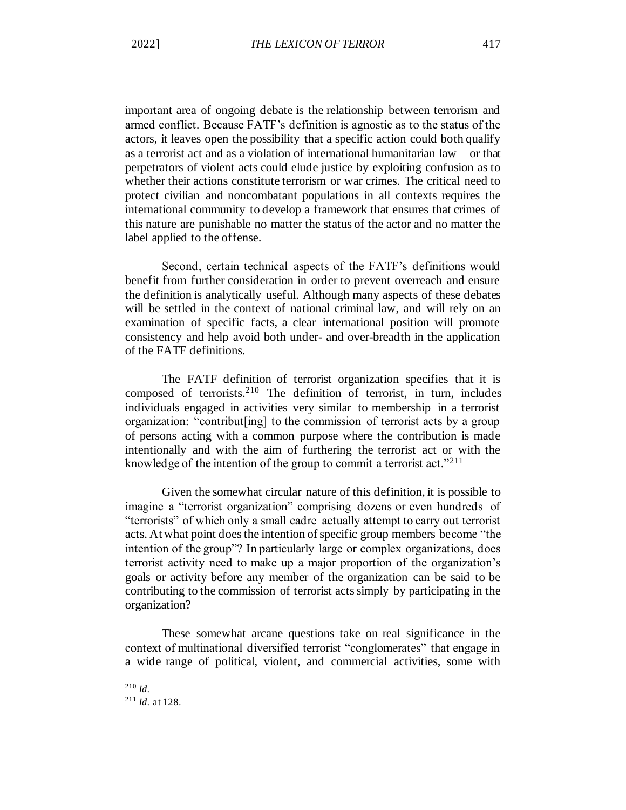important area of ongoing debate is the relationship between terrorism and armed conflict. Because FATF's definition is agnostic as to the status of the actors, it leaves open the possibility that a specific action could both qualify as a terrorist act and as a violation of international humanitarian law—or that perpetrators of violent acts could elude justice by exploiting confusion as to whether their actions constitute terrorism or war crimes. The critical need to protect civilian and noncombatant populations in all contexts requires the international community to develop a framework that ensures that crimes of this nature are punishable no matter the status of the actor and no matter the label applied to the offense.

Second, certain technical aspects of the FATF's definitions would benefit from further consideration in order to prevent overreach and ensure the definition is analytically useful. Although many aspects of these debates will be settled in the context of national criminal law, and will rely on an examination of specific facts, a clear international position will promote consistency and help avoid both under- and over-breadth in the application of the FATF definitions.

The FATF definition of terrorist organization specifies that it is composed of terrorists.<sup>210</sup> The definition of terrorist, in turn, includes individuals engaged in activities very similar to membership in a terrorist organization: "contribut[ing] to the commission of terrorist acts by a group of persons acting with a common purpose where the contribution is made intentionally and with the aim of furthering the terrorist act or with the knowledge of the intention of the group to commit a terrorist act."<sup>211</sup>

Given the somewhat circular nature of this definition, it is possible to imagine a "terrorist organization" comprising dozens or even hundreds of "terrorists" of which only a small cadre actually attempt to carry out terrorist acts. At what point does the intention of specific group members become "the intention of the group"? In particularly large or complex organizations, does terrorist activity need to make up a major proportion of the organization's goals or activity before any member of the organization can be said to be contributing to the commission of terrorist acts simply by participating in the organization?

These somewhat arcane questions take on real significance in the context of multinational diversified terrorist "conglomerates" that engage in a wide range of political, violent, and commercial activities, some with

<sup>210</sup> *Id.*

<sup>211</sup> *Id.* at 128.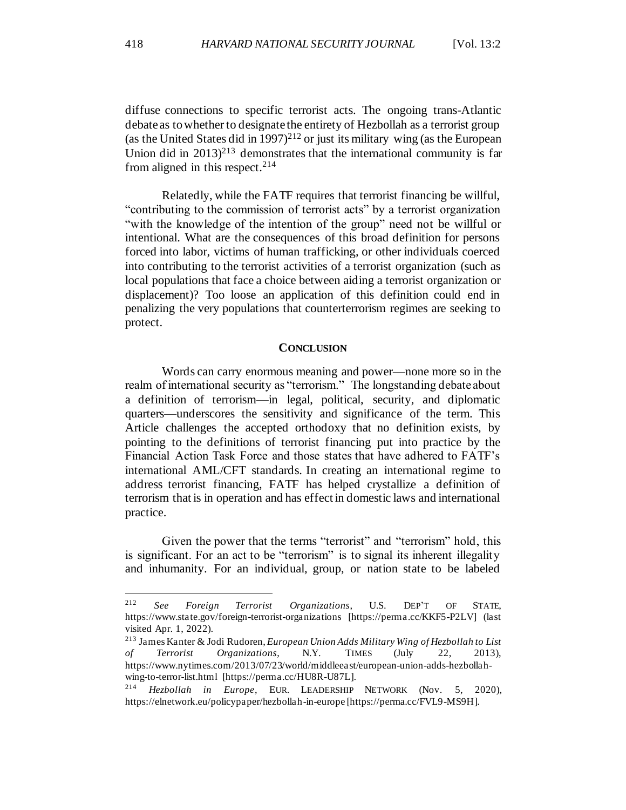diffuse connections to specific terrorist acts. The ongoing trans-Atlantic debate as to whether to designate the entirety of Hezbollah as a terrorist group (as the United States did in 1997)<sup>212</sup> or just its military wing (as the European Union did in  $2013$ <sup>213</sup> demonstrates that the international community is far from aligned in this respect.  $214$ 

Relatedly, while the FATF requires that terrorist financing be willful, "contributing to the commission of terrorist acts" by a terrorist organization "with the knowledge of the intention of the group" need not be willful or intentional. What are the consequences of this broad definition for persons forced into labor, victims of human trafficking, or other individuals coerced into contributing to the terrorist activities of a terrorist organization (such as local populations that face a choice between aiding a terrorist organization or displacement)? Too loose an application of this definition could end in penalizing the very populations that counterterrorism regimes are seeking to protect.

#### **CONCLUSION**

Words can carry enormous meaning and power—none more so in the realm of international security as "terrorism." The longstanding debate about a definition of terrorism—in legal, political, security, and diplomatic quarters—underscores the sensitivity and significance of the term. This Article challenges the accepted orthodoxy that no definition exists, by pointing to the definitions of terrorist financing put into practice by the Financial Action Task Force and those states that have adhered to FATF's international AML/CFT standards. In creating an international regime to address terrorist financing, FATF has helped crystallize a definition of terrorism that is in operation and has effect in domestic laws and international practice.

Given the power that the terms "terrorist" and "terrorism" hold, this is significant. For an act to be "terrorism" is to signal its inherent illegality and inhumanity. For an individual, group, or nation state to be labeled

<sup>212</sup> *See Foreign Terrorist Organizations*, U.S. DEP'T OF STATE, https://www.state.gov/foreign-terrorist-organizations [https://perma.cc/KKF5-P2LV] (last visited Apr. 1, 2022).

<sup>213</sup> James Kanter & Jodi Rudoren, *European Union Adds Military Wing of Hezbollah to List of Terrorist Organizations*, N.Y. TIMES (July 22, 2013), https://www.nytimes.com/2013/07/23/world/middleeast/european-union-adds-hezbollahwing-to-terror-list.html [https://perma.cc/HU8R-U87L].

<sup>214</sup> *Hezbollah in Europe*, EUR. LEADERSHIP NETWORK (Nov. 5, 2020), https://elnetwork.eu/policypaper/hezbollah-in-europe [https://perma.cc/FVL9-MS9H].